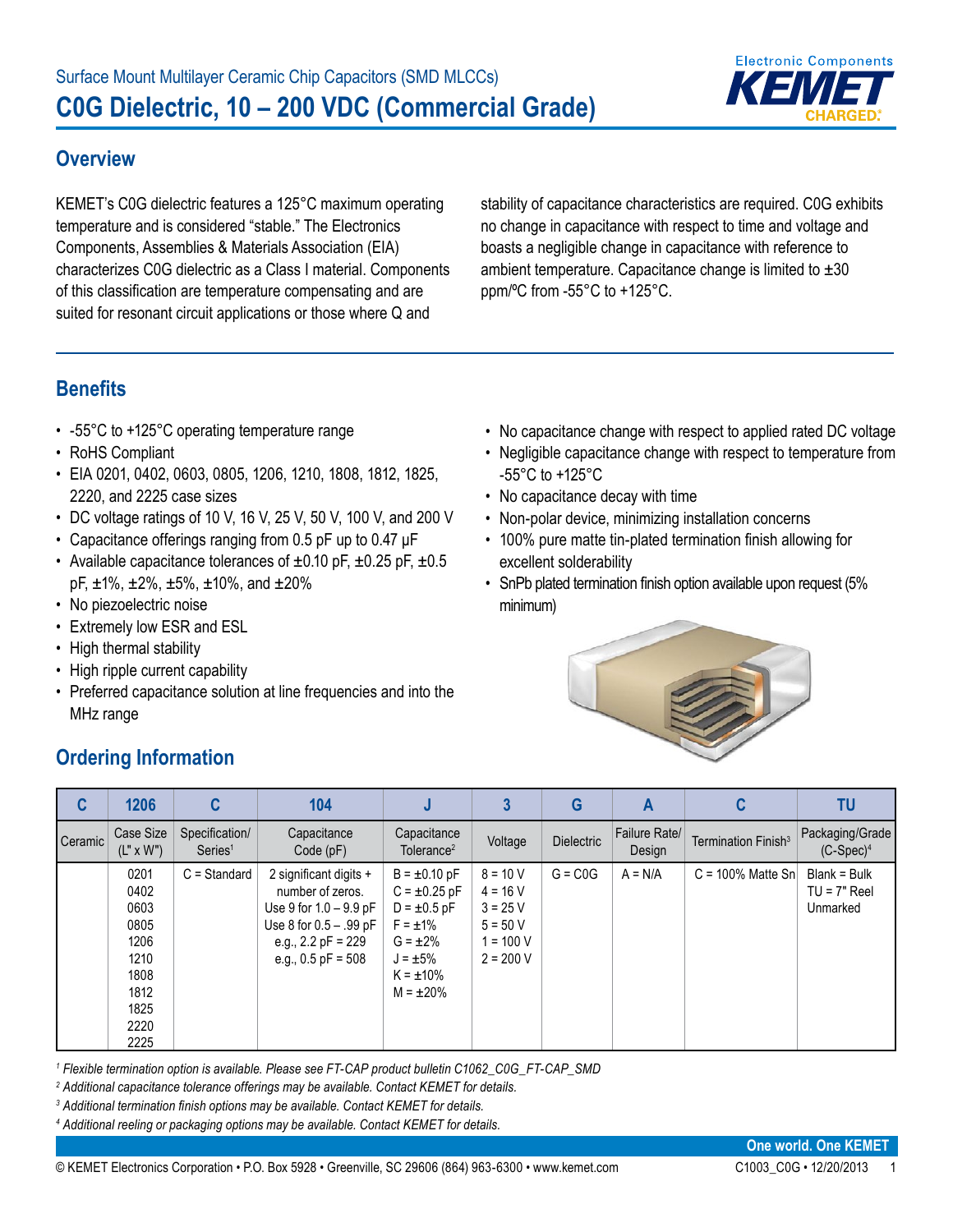

#### **Overview**

KEMET's C0G dielectric features a 125°C maximum operating temperature and is considered "stable." The Electronics Components, Assemblies & Materials Association (EIA) characterizes C0G dielectric as a Class I material. Components of this classification are temperature compensating and are suited for resonant circuit applications or those where Q and

stability of capacitance characteristics are required. C0G exhibits no change in capacitance with respect to time and voltage and boasts a negligible change in capacitance with reference to ambient temperature. Capacitance change is limited to  $\pm 30$ ppm/ºC from -55°C to +125°C.

# **Benefits**

- -55°C to +125°C operating temperature range
- RoHS Compliant
- EIA 0201, 0402, 0603, 0805, 1206, 1210, 1808, 1812, 1825, 2220, and 2225 case sizes
- DC voltage ratings of 10 V, 16 V, 25 V, 50 V, 100 V, and 200 V
- Capacitance offerings ranging from 0.5 pF up to 0.47 μF
- Available capacitance tolerances of ±0.10 pF, ±0.25 pF, ±0.5  $pF, \pm 1\%$ ,  $\pm 2\%$ ,  $\pm 5\%$ ,  $\pm 10\%$ , and  $\pm 20\%$
- No piezoelectric noise
- Extremely low ESR and ESL
- High thermal stability
- High ripple current capability
- Preferred capacitance solution at line frequencies and into the MHz range
- No capacitance change with respect to applied rated DC voltage • Negligible capacitance change with respect to temperature from -55°C to +125°C
- No capacitance decay with time
- Non-polar device, minimizing installation concerns
- 100% pure matte tin-plated termination finish allowing for excellent solderability
- SnPb plated termination finish option available upon request (5% minimum)



| C         | 1206                                                                                 | C                                     | 104                                                                                                                                              |                                                                                                                                                   |                                                                                  | G                 | A                       |                                 | ΤU                                         |
|-----------|--------------------------------------------------------------------------------------|---------------------------------------|--------------------------------------------------------------------------------------------------------------------------------------------------|---------------------------------------------------------------------------------------------------------------------------------------------------|----------------------------------------------------------------------------------|-------------------|-------------------------|---------------------------------|--------------------------------------------|
| I Ceramic | Case Size<br>$(L" \times W")$                                                        | Specification/<br>Series <sup>1</sup> | Capacitance<br>Code(pF)                                                                                                                          | Capacitance<br>Tolerance <sup>2</sup>                                                                                                             | Voltage                                                                          | <b>Dielectric</b> | Failure Rate/<br>Design | Termination Finish <sup>3</sup> | Packaging/Grade<br>$(C-Spec)^4$            |
|           | 0201<br>0402<br>0603<br>0805<br>1206<br>1210<br>1808<br>1812<br>1825<br>2220<br>2225 | $C =$ Standard                        | 2 significant digits +<br>number of zeros.<br>Use 9 for $1.0 - 9.9$ pF<br>Use 8 for 0.5 - .99 pF<br>e.g., 2.2 $pF = 229$<br>e.g., $0.5$ pF = 508 | $B = \pm 0.10$ pF<br>$C = \pm 0.25$ pF<br>$D = \pm 0.5$ pF<br>$F = \pm 1\%$<br>$G = \pm 2\%$<br>$J = \pm 5\%$<br>$K = \pm 10\%$<br>$M = \pm 20\%$ | $8 = 10 V$<br>$4 = 16 V$<br>$3 = 25 V$<br>$5 = 50 V$<br>1 = 100 V<br>$2 = 200 V$ | $G = COG$         | $A = N/A$               | $C = 100\%$ Matte Sn            | Blank = Bulk<br>$TU = 7"$ Reel<br>Unmarked |

<sup>1</sup> Flexible termination option is available. Please see FT-CAP product bulletin C1062\_C0G\_FT-CAP\_SMD

*2 Additional capacitance tolerance offerings may be available. Contact KEMET for details.*

*3 Additional termination finish options may be available. Contact KEMET for details.* 

*4 Additional reeling or packaging options may be available. Contact KEMET for details.*

### **Ordering Information**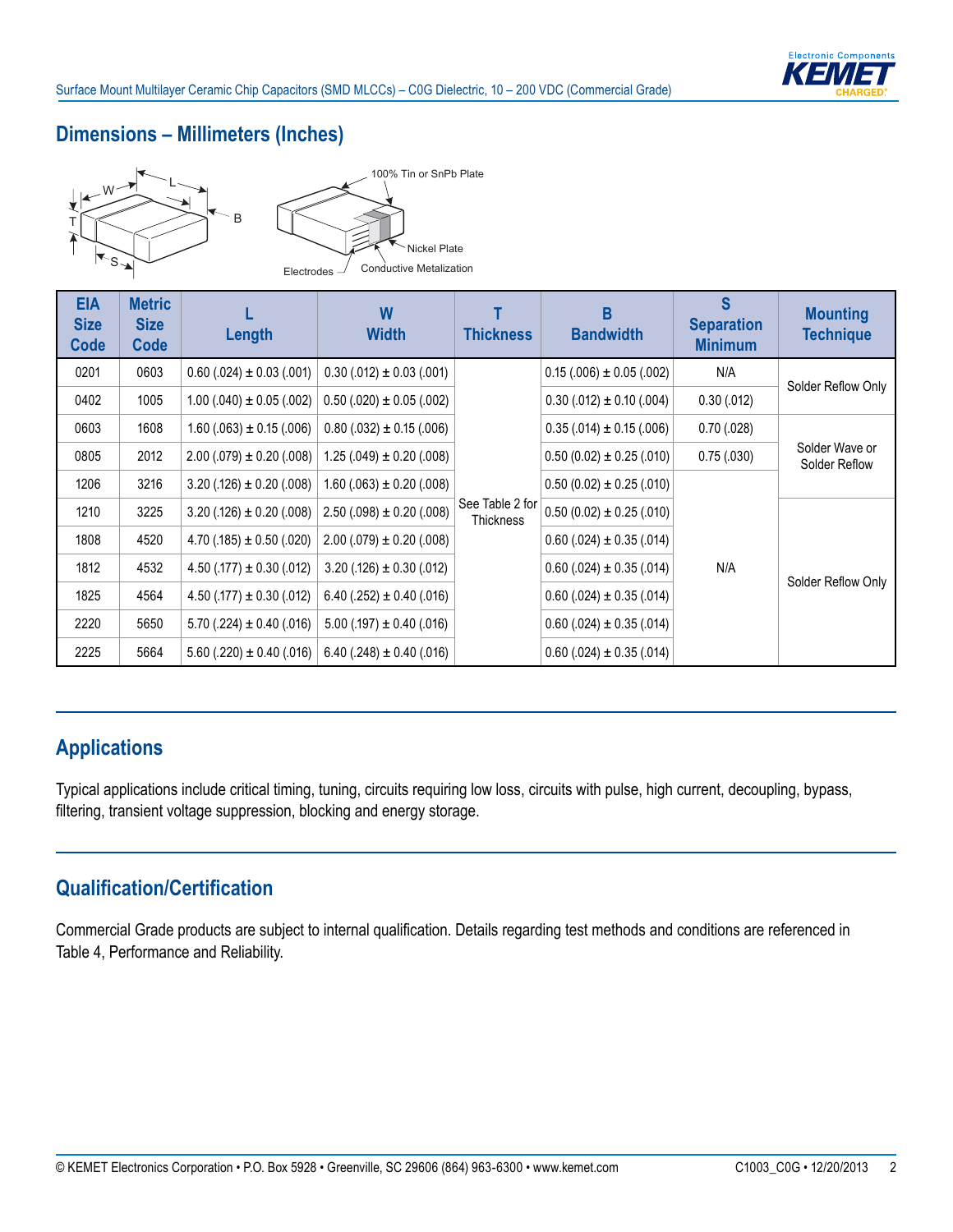#### **Dimensions – Millimeters (Inches)**



| <b>EIA</b><br><b>Size</b><br>Code | <b>Metric</b><br><b>Size</b><br><b>Code</b> | Length                          | W<br><b>Width</b>               | <b>Thickness</b>                    | B<br><b>Bandwidth</b>           | S<br><b>Separation</b><br><b>Minimum</b> | <b>Mounting</b><br><b>Technique</b> |
|-----------------------------------|---------------------------------------------|---------------------------------|---------------------------------|-------------------------------------|---------------------------------|------------------------------------------|-------------------------------------|
| 0201                              | 0603                                        | $0.60(.024) \pm 0.03(.001)$     | $0.30(.012) \pm 0.03(.001)$     |                                     | $0.15(.006) \pm 0.05(.002)$     | N/A                                      |                                     |
| 0402                              | 1005                                        | $1.00$ (.040) $\pm$ 0.05 (.002) | $0.50$ (.020) $\pm$ 0.05 (.002) |                                     | $0.30$ (.012) $\pm$ 0.10 (.004) | 0.30(.012)                               | Solder Reflow Only                  |
| 0603                              | 1608                                        | $1.60$ (.063) $\pm$ 0.15 (.006) | $0.80(.032) \pm 0.15(.006)$     |                                     | $0.35(.014) \pm 0.15(.006)$     | 0.70(0.028)                              |                                     |
| 0805                              | 2012                                        | $2.00(.079) \pm 0.20(.008)$     | $1.25(.049) \pm 0.20(.008)$     |                                     | $0.50(0.02) \pm 0.25(.010)$     | 0.75(.030)                               | Solder Wave or<br>Solder Reflow     |
| 1206                              | 3216                                        | $3.20(.126) \pm 0.20(.008)$     | $1.60$ (.063) $\pm$ 0.20 (.008) |                                     | $0.50(0.02) \pm 0.25(.010)$     |                                          |                                     |
| 1210                              | 3225                                        | $3.20(.126) \pm 0.20(.008)$     | $2.50(.098) \pm 0.20(.008)$     | See Table 2 for<br><b>Thickness</b> | $0.50(0.02) \pm 0.25(.010)$     |                                          |                                     |
| 1808                              | 4520                                        | $4.70(.185) \pm 0.50(.020)$     | $2.00(.079) \pm 0.20(.008)$     |                                     | $0.60(.024) \pm 0.35(.014)$     |                                          |                                     |
| 1812                              | 4532                                        | $4.50$ (.177) $\pm$ 0.30 (.012) | $3.20(.126) \pm 0.30(.012)$     |                                     | $0.60$ (.024) $\pm$ 0.35 (.014) | N/A                                      |                                     |
| 1825                              | 4564                                        | $4.50(.177) \pm 0.30(.012)$     | $6.40(.252) \pm 0.40(.016)$     |                                     | $0.60$ (.024) $\pm$ 0.35 (.014) |                                          | Solder Reflow Only                  |
| 2220                              | 5650                                        | $5.70$ (.224) $\pm$ 0.40 (.016) | $5.00$ (.197) $\pm$ 0.40 (.016) |                                     | $0.60(.024) \pm 0.35(.014)$     |                                          |                                     |
| 2225                              | 5664                                        | $5.60(.220) \pm 0.40(.016)$     | $6.40(.248) \pm 0.40(.016)$     |                                     | $0.60$ (.024) $\pm$ 0.35 (.014) |                                          |                                     |

# **Applications**

Typical applications include critical timing, tuning, circuits requiring low loss, circuits with pulse, high current, decoupling, bypass, filtering, transient voltage suppression, blocking and energy storage.

### **Qualification/Certification**

Commercial Grade products are subject to internal qualification. Details regarding test methods and conditions are referenced in Table 4, Performance and Reliability.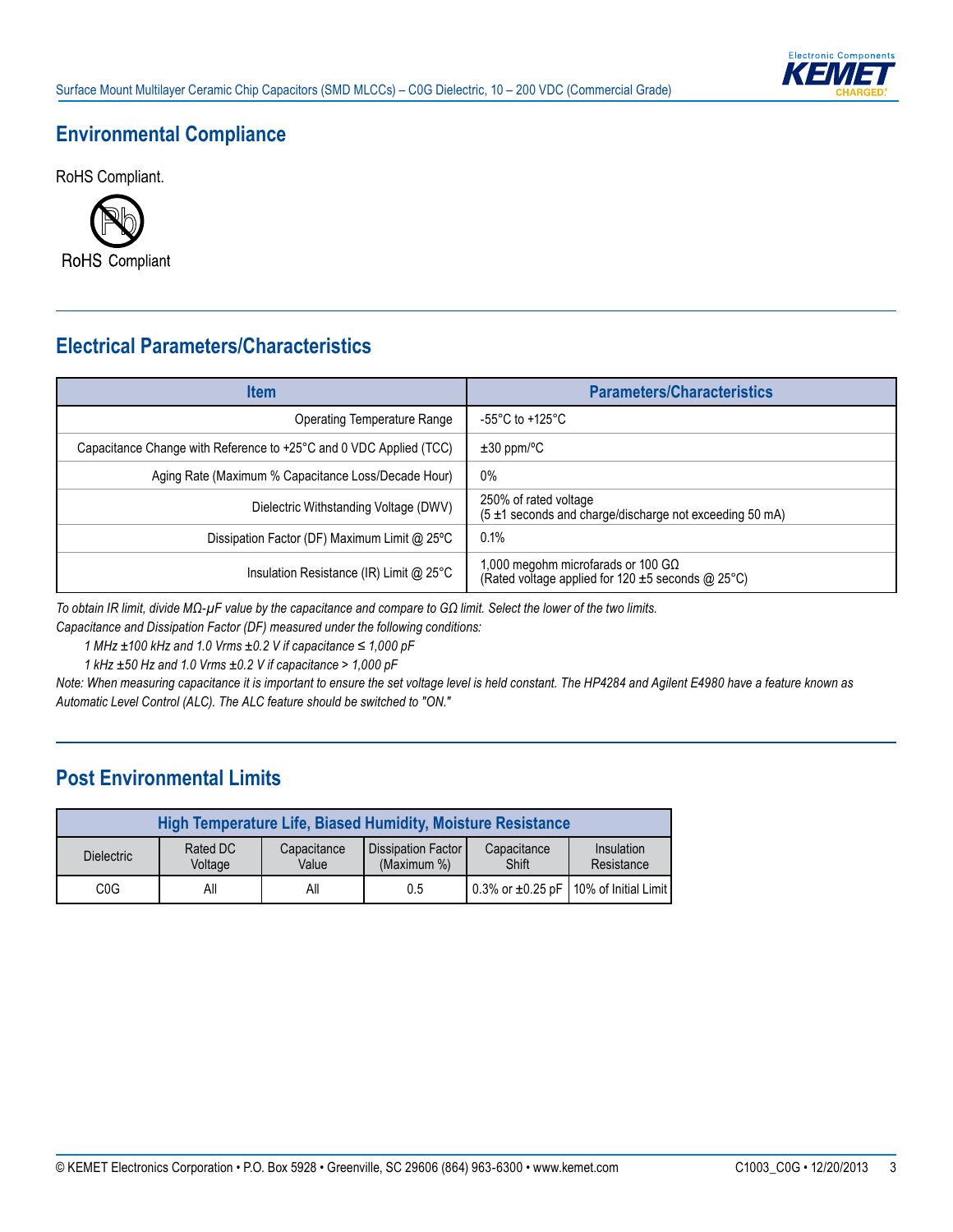

### **Environmental Compliance**

RoHS Compliant.



# **Electrical Parameters/Characteristics**

| <b>Item</b>                                                        | <b>Parameters/Characteristics</b>                                                                    |
|--------------------------------------------------------------------|------------------------------------------------------------------------------------------------------|
| Operating Temperature Range                                        | -55°C to +125°C                                                                                      |
| Capacitance Change with Reference to +25°C and 0 VDC Applied (TCC) | $\pm 30$ ppm/°C                                                                                      |
| Aging Rate (Maximum % Capacitance Loss/Decade Hour)                | $0\%$                                                                                                |
| Dielectric Withstanding Voltage (DWV)                              | 250% of rated voltage<br>(5 ±1 seconds and charge/discharge not exceeding 50 mA)                     |
| Dissipation Factor (DF) Maximum Limit @ 25°C                       | $0.1\%$                                                                                              |
| Insulation Resistance (IR) Limit @ 25°C                            | 1,000 megohm microfarads or 100 G $\Omega$<br>(Rated voltage applied for 120 $\pm$ 5 seconds @ 25°C) |

*To obtain IR limit, divide MΩ-µF value by the capacitance and compare to GΩ limit. Select the lower of the two limits.*

*Capacitance and Dissipation Factor (DF) measured under the following conditions:*

*1 MHz ±100 kHz and 1.0 Vrms ±0.2 V if capacitance ≤ 1,000 pF*

*1 kHz ±50 Hz and 1.0 Vrms ±0.2 V if capacitance > 1,000 pF*

*Note: When measuring capacitance it is important to ensure the set voltage level is held constant. The HP4284 and Agilent E4980 have a feature known as Automatic Level Control (ALC). The ALC feature should be switched to "ON."*

### **Post Environmental Limits**

|                   |                     |                      | <b>High Temperature Life, Biased Humidity, Moisture Resistance</b> |                      |                                          |
|-------------------|---------------------|----------------------|--------------------------------------------------------------------|----------------------|------------------------------------------|
| <b>Dielectric</b> | Rated DC<br>Voltage | Capacitance<br>Value | <b>I</b> Dissipation Factor <b>I</b><br>(Maximum %)                | Capacitance<br>Shift | Insulation<br>Resistance                 |
| C <sub>0</sub> G  | All                 | All                  | 0.5                                                                |                      | 0.3% or ±0.25 pF 110% of Initial Limit I |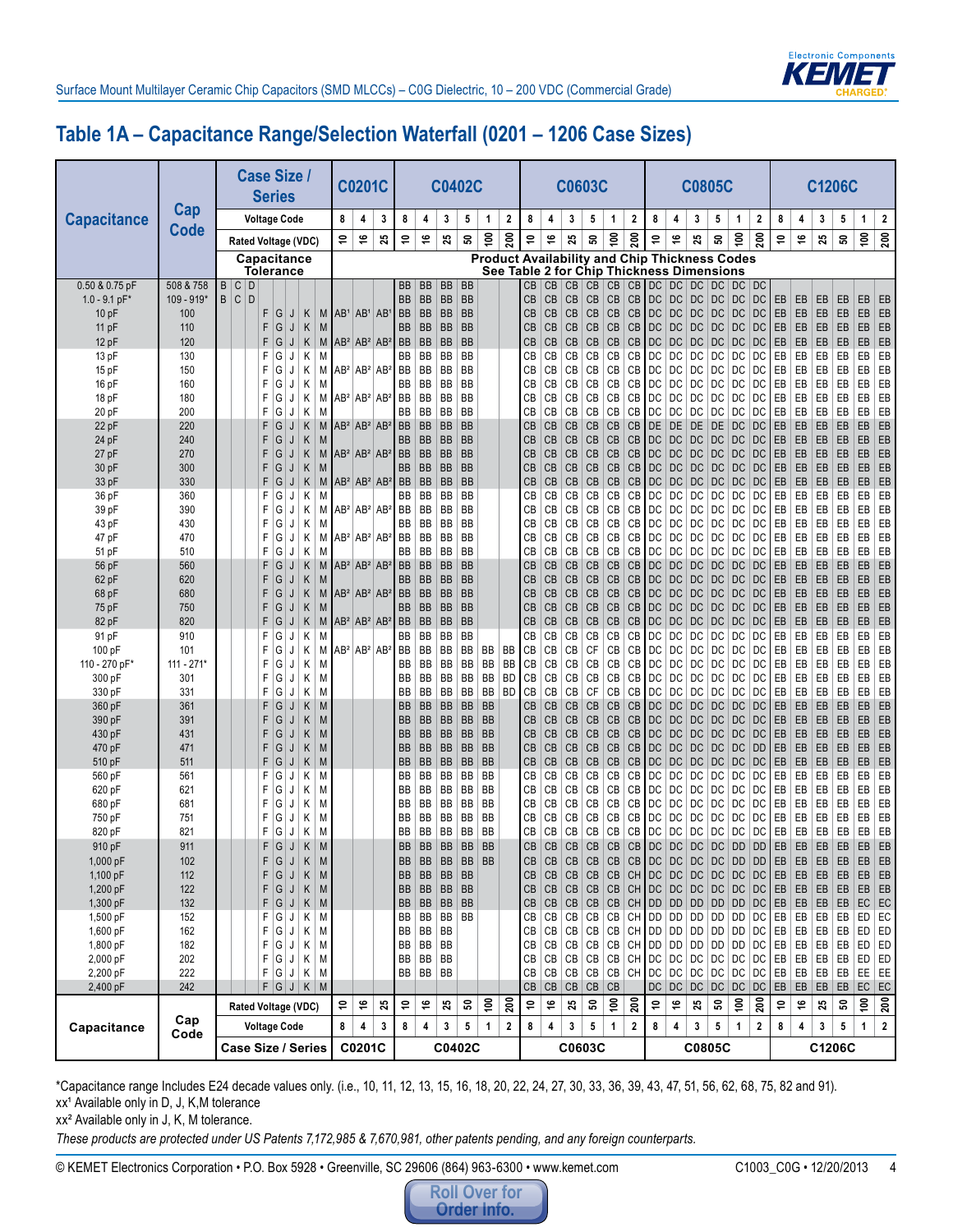

# **Table 1A – Capacitance Range/Selection Waterfall (0201 – 1206 Case Sizes)**

|                         | Cap                     |           | <b>Case Size /</b>              | <b>Series</b>    |                     |                          |           |                 | <b>C0201C</b>     |                      |                        |                        |                        | <b>C0402C</b>          |                        |                                                                                                   |          |                        | <b>C0603C</b>             |              |                |                  |                                          |                              |           | <b>C0805C</b>        |                  |                                  |                    |                 |               | <b>C1206C</b> |                      |                  |
|-------------------------|-------------------------|-----------|---------------------------------|------------------|---------------------|--------------------------|-----------|-----------------|-------------------|----------------------|------------------------|------------------------|------------------------|------------------------|------------------------|---------------------------------------------------------------------------------------------------|----------|------------------------|---------------------------|--------------|----------------|------------------|------------------------------------------|------------------------------|-----------|----------------------|------------------|----------------------------------|--------------------|-----------------|---------------|---------------|----------------------|------------------|
| <b>Capacitance</b>      | <b>Code</b>             |           |                                 |                  | <b>Voltage Code</b> |                          |           | 8               | 4                 | 3                    | 8                      | 4                      | 3                      | 5                      | 1                      | $\mathbf{2}$                                                                                      | 8        | 4                      | 3                         | 5            | 1              | $\boldsymbol{2}$ | 8                                        | 4                            | 3         | 5                    | 1                | 2                                | 8                  | 4               | 3             | 5             | 1                    | 2                |
|                         |                         |           | Rated Voltage (VDC)             |                  |                     |                          |           | \$,             | ڥ                 | 25                   | Ş                      | ې                      | 25                     | ន                      | $\tilde{e}$            | 200                                                                                               | ş        | ې                      | 25                        | ន            | $\tilde{e}$    | 200              | ۵Ļ                                       | ې                            | 25        | ន                    | $\frac{6}{2}$    | 200                              | \$,                | ې               | 25            | ន             | $\epsilon$           | $\overline{200}$ |
|                         |                         |           | Capacitance<br><b>Tolerance</b> |                  |                     |                          |           |                 |                   |                      |                        |                        |                        |                        |                        | <b>Product Availability and Chip Thickness Codes</b><br>See Table 2 for Chip Thickness Dimensions |          |                        |                           |              |                |                  |                                          |                              |           |                      |                  |                                  |                    |                 |               |               |                      |                  |
| 0.50 & 0.75 pF          | 508 & 758<br>109 - 919* | B C<br>C. | D<br>D                          |                  |                     |                          |           |                 |                   |                      | BB<br><b>BB</b>        | BB                     | <b>BB</b><br><b>BB</b> | <b>BB</b><br><b>BB</b> |                        |                                                                                                   | CВ       | CB                     | CB                        | CB           | CB             |                  | CB   DC                                  | <b>DC</b>                    | DC        | DC                   | DC               | DC                               |                    |                 |               |               |                      |                  |
| $1.0 - 9.1$ pF'<br>10pF | 100                     | B         |                                 | F<br>G           | J                   | Κ                        | M         | AB <sup>1</sup> | $ AB^1 AB^1$      |                      | <b>BB</b>              | BB<br><b>BB</b>        | <b>BB</b>              | BB                     |                        |                                                                                                   | CВ<br>CВ | CB<br><b>CB</b>        | CB<br>CB                  | CB<br>CB     | CB<br>CB       | CB<br>CB         | DC<br>DC                                 | DC<br>DC                     | DC<br>DC  | <b>DC</b><br>DC      | DC<br>DC         | DC<br>DC                         | EB<br>EB           | EB<br>EB        | EB<br>EB      | EB<br>EB      | EB<br>EB             | EB<br>EB         |
| 11 pF                   | 110                     |           |                                 | G<br>F           | J                   | Κ                        | M         |                 |                   |                      | <b>BB</b>              | <b>BB</b>              | <b>BB</b>              | BB                     |                        |                                                                                                   | СВ       | CB                     | CB                        | CB           | CB             | CB               | DC                                       | DC                           | DC        | <b>DC</b>            | DC               | DC                               | EB                 | EB              | EB            | EB            | EB                   | EB               |
| 12 pF                   | 120                     |           |                                 | G<br>F           | J                   | Κ                        | M         |                 | $AB^2 AB^2 AB^2$  |                      | <b>BB</b>              | <b>BB</b>              | <b>BB</b>              | <b>BB</b>              |                        |                                                                                                   | CB       | CB                     | CB                        | CB           | CB             | CB               | DC                                       | DC                           | DC        | DC                   | DC               | DC                               | EB                 | EB              | EB            | EB            | EB                   | EB               |
| 13 pF<br>15 pF          | 130<br>150              |           |                                 | G<br>F<br>G<br>F | J<br>J              | Κ<br>Κ                   | M<br>М    |                 | $AB^2 AB^2 AB^2$  |                      | BB<br>BB               | BB<br>BB               | BB<br>BB               | BB<br>BB               |                        |                                                                                                   | CВ<br>CВ | CВ<br>CВ               | СB<br>СB                  | CB<br>CB     | СB<br>СB       | СB<br>СB         | DC<br>DC                                 | DC<br>DC                     | DC<br>DC  | DC<br>DC             | DC<br>DC         | DC<br>DC                         | EB<br>EB           | EB<br>EB        | EB<br>EB      | EB<br>EB      | EB<br>EB             | EB<br>EB         |
| 16 pF                   | 160                     |           |                                 | G<br>F           | J                   | Κ                        | M         |                 |                   |                      | BB                     | BB                     | BB                     | BB                     |                        |                                                                                                   | CВ       | СB                     | CB                        | CB           | CB             | СB               | DC                                       | DC                           | DC        | DC                   | DC               | DC                               | EB                 | EB              | EB            | EB            | EB                   | EB               |
| 18 pF                   | 180                     |           |                                 | G<br>F           | J                   | Κ                        | M         |                 | $AB^2 AB^2 AB^2$  |                      | BB                     | BB                     | BB                     | BB                     |                        |                                                                                                   | CВ       | <b>CB</b>              | CB                        | CB           | CB             | СB               | DC                                       | DC                           | DC        | DC                   | DC               | DC                               | EB                 | EB              | EB            | EB            | EB                   | EB               |
| 20 pF                   | 200                     |           |                                 | G<br>F           | J                   | Κ                        | M         |                 |                   |                      | BB                     | BB                     | BB                     | BB                     |                        |                                                                                                   | CВ       | CВ                     | CB                        | CB           | CB             | CB               | DC                                       | DC                           | DC        | DC                   | DC               | DC                               | EB                 | EB              | EB            | EB            | EB                   | EB               |
| 22 pF                   | 220                     |           |                                 | G<br>F           | J                   | Κ                        | M         |                 | $AB^2 AB^2 AB^2$  |                      | <b>BB</b>              | <b>BB</b>              | <b>BB</b>              | BB                     |                        |                                                                                                   | СB       | <b>CB</b>              | CB                        | CB           | CB             | CB               | DE                                       | DE                           | DE        | DE                   | DC               | DC                               | EB                 | EB              | EB            | EB            | EB                   | EB               |
| 24 pF<br>27 pF          | 240<br>270              |           |                                 | G<br>F<br>F<br>G | J<br>J              | Κ<br>Κ                   | M<br>M    |                 |                   | $AB^2 AB^2 AB^2$     | <b>BB</b><br><b>BB</b> | <b>BB</b><br><b>BB</b> | <b>BB</b><br><b>BB</b> | <b>BB</b><br><b>BB</b> |                        |                                                                                                   | CВ<br>CB | <b>CB</b><br><b>CB</b> | CB<br>CB                  | CB<br>CB     | CB<br>CB       | CB<br>CB         | DC<br>DC                                 | DC<br>DC                     | DC<br>DC  | DC<br>DC             | DC<br>DC         | DC<br>DC                         | EB<br>EB           | EB<br>EB        | EB<br>EB      | EB<br>EB      | EB<br>EB             | EB<br>EB         |
| 30 pF                   | 300                     |           |                                 | G<br>F           | J                   | Κ                        | M         |                 |                   |                      | <b>BB</b>              | <b>BB</b>              | <b>BB</b>              | <b>BB</b>              |                        |                                                                                                   | CВ       | <b>CB</b>              | CB                        | CB           | CB             | CB               | DC                                       | DC                           | DC        | <b>DC</b>            | DC               | DC                               | EB                 | EB              | EB            | EB            | EB                   | EB               |
| 33 pF                   | 330                     |           |                                 | F<br>G           | J                   | Κ                        | M         |                 |                   | $AB^2 AB^2 AB^2$     | <b>BB</b>              | <b>BB</b>              | <b>BB</b>              | <b>BB</b>              |                        |                                                                                                   | CВ       | CB                     | CB                        | CB           | CB             | CB               | $\overline{DC}$                          | DC                           | DC        | DC                   | DC               | DC                               | EB                 | EB              | EB            | EB            | EB                   | EB               |
| 36 pF                   | 360                     |           |                                 | G<br>F           | J                   | Κ                        | M         |                 |                   |                      | BB                     | BB                     | BB                     | BB                     |                        |                                                                                                   | СВ       | CВ                     | СB                        | CB           | CB             | СB               | DC                                       | DC                           | DC        | DC                   | DC               | DC                               | EB                 | EB              | EB            | EB            | EB                   | EB               |
| 39 pF<br>43 pF          | 390<br>430              |           |                                 | G<br>F<br>G<br>F | J<br>J              | Κ<br>Κ                   | М<br>M    |                 | $AB^2 AB^2 AB^2$  |                      | BB<br>BB               | BB<br>BB               | BB<br>BB               | BB<br>BB               |                        |                                                                                                   | CВ<br>CВ | CВ<br>CВ               | CВ<br>СB                  | CB<br>CB     | CB<br>CB       | CB<br>CB         | DC<br>DC                                 | DC<br>DC                     | DC<br>DC  | DC<br>DC             | DC<br>DC         | DC<br>DC                         | EB<br>EB           | EB<br>EB        | EB<br>EB      | EB<br>EB      | EB<br>EB             | EB<br>EB         |
| 47 pF                   | 470                     |           |                                 | G<br>F           | J                   | Κ                        | М         |                 | $ AB^2 AB^2 AB^2$ |                      | <b>BB</b>              | BB                     | BB                     | BB                     |                        |                                                                                                   | CВ       | CВ                     | СB                        | CB           | CB             | CВ               | DC                                       | DC                           | DC        | DC                   | DC               | DC                               | EB                 | EB              | EB            | EB            | EB                   | EB               |
| 51 pF                   | 510                     |           |                                 | G<br>F           | J                   | Κ                        | M         |                 |                   |                      | BB                     | BB                     | BB                     | BB                     |                        |                                                                                                   | СB       | CВ                     | CB                        | CB           | CB             | CB               | DC                                       | DC                           | DC        | DC                   | DC               | DC                               | EB                 | EB              | EB            | EB            | EB                   | EB               |
| 56 pF                   | 560                     |           |                                 | F<br>G           | J                   | Κ                        | M         |                 |                   | $AB^2$ $AB^2$ $AB^2$ | <b>BB</b>              | <b>BB</b>              | <b>BB</b>              | BB                     |                        |                                                                                                   | CВ       | CB                     | CB                        | CB           | CB             | CB               | DC                                       | DC                           | DC        | DC                   | DC               | DC                               | EB                 | EB              | EB            | EB            | EB                   | EB               |
| 62 pF                   | 620                     |           |                                 | G<br>F           | J                   | Κ                        | M         |                 |                   |                      | BB                     | <b>BB</b>              | <b>BB</b>              | <b>BB</b>              |                        |                                                                                                   | CВ       | СB                     | CB                        | CB           | CB             | CB               | DC                                       | DC                           | DC        | DC                   | DC               | DC                               | EB                 | EB              | EB            | EB            | EB                   | EB               |
| 68 pF<br>75 pF          | 680<br>750              |           |                                 | G<br>F<br>G<br>F | J<br>J              | Κ<br>Κ                   | M<br>M    |                 |                   | $AB^2 AB^2 AB^2$     | <b>BB</b><br><b>BB</b> | <b>BB</b><br><b>BB</b> | <b>BB</b><br><b>BB</b> | <b>BB</b><br><b>BB</b> |                        |                                                                                                   | СВ<br>CВ | <b>CB</b><br><b>CB</b> | CB<br>CB                  | CB<br>CB     | CB<br>CB       | CB<br>CB         | $\overline{D}C$<br>DC                    | DC<br>DC                     | DC<br>DC  | DC<br>DC             | DC<br>DC         | DC<br>DC                         | EB<br>EB           | EB<br>EB        | EB<br>EB      | EB<br>EB      | EB<br>EB             | EB<br>EB         |
| 82 pF                   | 820                     |           |                                 | G<br>F           | J                   | Κ                        | M         |                 | $AB^2 AB^2 AB^2$  |                      | <b>BB</b>              | <b>BB</b>              | <b>BB</b>              | <b>BB</b>              |                        |                                                                                                   | CB       | <b>CB</b>              | CB                        | CB           | CB             | CB               | $\overline{D}C$                          | DC                           | DC        | DC                   | DC               | DC                               | EB                 | EB              | EB            | EB            | EB                   | EB               |
| 91 pF                   | 910                     |           |                                 | G<br>F           | J                   | Κ                        | М         |                 |                   |                      | BB                     | BB                     | BB                     | BB                     |                        |                                                                                                   | CВ       | CВ                     | CB                        | CB           | CB             | СB               | DC                                       | DC                           | DC        | DC                   | DC               | DC                               | EB                 | EB              | EB            | EB            | EB                   | EB               |
| 100 pF                  | 101                     |           |                                 | G<br>F           | J                   | Κ                        | М         |                 | $AB^2 AB^2 AB^2$  |                      | BB                     | BB                     | BB                     | BB                     | BB                     | BB                                                                                                | СB       | CB                     | CB                        | CF           | СB             | CB               | DC                                       | DC                           | DC        | DC                   | DC               | DC                               | EB                 | EB              | EB            | EB            | EB                   | EB               |
| 110 - 270 pF'           | 111 - 271'<br>301       |           |                                 | G<br>F<br>G<br>F | J<br>J              | Κ<br>Κ                   | M<br>M    |                 |                   |                      | BB<br>BB               | BB<br>BB               | BB<br>BB               | BB<br>BB               | BB<br>BB               | BB<br><b>BD</b>                                                                                   | CВ<br>CВ | CВ<br>CB               | СB<br>CВ                  | CB<br>CB     | CB<br>CB       | CB<br>CB         | DC<br>DC                                 | DC<br>DC                     | DC<br>DC  | DC<br>DC             | DC<br>DC         | DC<br>DC                         | EB<br>EB           | EB<br>EB        | EB<br>EB      | EB<br>EB      | EB<br>EB             | EB<br>EB         |
| 300 pF<br>330 pF        | 331                     |           |                                 | G<br>F.          | J                   | Κ                        | M         |                 |                   |                      | BB                     | BB                     | BB                     | BB                     | BB                     | <b>BD</b>                                                                                         | CB       | CВ                     | СB                        | CF           | CB             | СB               | DC                                       | DC                           | DC        | DC                   | DC               | DC                               | EB                 | EB              | EB            | EB            | EB                   | EB               |
| 360 pF                  | 361                     |           |                                 | G<br>F           | J                   | Κ                        | M         |                 |                   |                      | <b>BB</b>              | <b>BB</b>              | BB                     | <b>BB</b>              | <b>BB</b>              |                                                                                                   | CВ       | CB                     | CB                        | CB           | CB             | CB               | DC                                       | DC                           | DC        | DC                   | DC               | DC                               | EB                 | EB              | EB            | EB            | EB                   | EB               |
| 390 pF                  | 391                     |           |                                 | G<br>F           | J                   | Κ                        | M         |                 |                   |                      | <b>BB</b>              | <b>BB</b>              | BB                     | <b>BB</b>              | <b>BB</b>              |                                                                                                   | CВ       | CB                     | CB                        | CB           | CB             | CB               | DC                                       | DC                           | DC        | DC                   | DC               | DC                               | EB                 | EB              | EB            | EB            | EB                   | EB               |
| 430 pF                  | 431                     |           |                                 | G<br>F           | J                   | Κ                        | M         |                 |                   |                      | <b>BB</b>              | <b>BB</b>              | <b>BB</b>              | <b>BB</b>              | <b>BB</b>              |                                                                                                   | CB       | CB                     | CB                        | CB           | CB             | CB               | DC                                       | DC                           | DC        | DC                   | DC               | DC                               | EB                 | EB              | EB            | EB            | EB                   | EB               |
| 470 pF<br>510 pF        | 471<br>511              |           |                                 | G<br>F<br>G<br>F | J<br>J              | Κ<br>Κ                   | M<br>M    |                 |                   |                      | <b>BB</b><br><b>BB</b> | <b>BB</b><br><b>BB</b> | <b>BB</b><br><b>BB</b> | BB<br><b>BB</b>        | <b>BB</b><br><b>BB</b> |                                                                                                   | CB<br>СB | CB<br>CB               | CB<br>CB                  | CB<br>CB     | CB<br>CB       | CB<br>CB         | DC<br>DC                                 | DC<br>DC                     | DC<br>DC  | DC<br>DC             | DC<br>DC         | <b>DD</b><br>DC                  | EB<br>EB           | EB<br>EB        | EB<br>EB      | EB<br>EB      | EB<br>EB             | EB<br>EB         |
| 560 pF                  | 561                     |           |                                 | G<br>F           | J                   | Κ                        | М         |                 |                   |                      | BB                     | BB                     | BB                     | BB                     | BB                     |                                                                                                   | CВ       | CВ                     | СB                        | CB           | CB             | СB               | DC                                       | DC                           | DC        | DC                   | DC               | DC                               | EB                 | EB              | EB            | EB            | EB                   | EB               |
| 620 pF                  | 621                     |           |                                 | G<br>F           | J                   | Κ                        | М         |                 |                   |                      | BB                     | BB                     | BB                     | BB                     | BB                     |                                                                                                   | CВ       | СB                     | CB                        | CB           | СB             | CВ               | DC                                       | DC                           | DC        | DC                   | DC               | DC                               | EB                 | EB              | EB            | EB            | EB                   | EB               |
| 680 pF                  | 681                     |           |                                 | G<br>F           | J                   | Κ                        | М         |                 |                   |                      | BB                     | BB                     | BB                     | BB                     | BB                     |                                                                                                   | CВ       | CВ                     | CB                        | CB           | CB             | СB               | DC                                       | DC                           | DC        | DC                   | DC               | DC                               | EB                 | EB              | EB            | EB            | EB                   | EB               |
| 750 pF<br>820 pF        | 751<br>821              |           |                                 | G<br>F<br>G<br>F | J<br>J              | Κ<br>Κ                   | М<br>М    |                 |                   |                      | BB<br>BB               | BB<br>BB               | BB<br>BB               | BB<br>BB               | BB<br>BB               |                                                                                                   | CВ<br>CВ | CВ<br>CВ               | CB<br>СB                  | CB<br>CB     | CB<br>CB       | CВ<br>СB         | DC<br>DC                                 | DC<br>DC                     | DC<br>DC  | DC<br>DC             | DC<br>DC         | DC<br>DC                         | EB<br>EB           | EB<br>EB        | EB<br>EB      | EB<br>EB      | EB<br>EB             | EB<br>EB         |
| 910 pF                  | 911                     |           |                                 | F.<br>G          | J                   | Κ                        | M         |                 |                   |                      | <b>BB</b>              | <b>BB</b>              | BB                     | <b>BB</b>              | <b>BB</b>              |                                                                                                   | CB       | CB                     | CB                        | CB           | CB             |                  | CB DC                                    | DC                           | DC        | DC                   | <b>DD</b>        | <b>DD</b>                        | EB                 | EB              | EB            | EB            | EB                   | EB               |
| 1,000 pF                | 102                     |           |                                 | G                | J                   | $K \mid$                 | M         |                 |                   |                      | BB                     | BB                     | BB                     | BB                     | <b>BB</b>              |                                                                                                   | CВ       | CB                     | CB                        | CB           | CB             |                  | $CB$ DC                                  |                              | $DC$ $DC$ | DC                   | DD               | DD                               | EB                 | EB              | EB            | EB            | EB                   | EB               |
| 1,100 pF                | 112                     |           |                                 | G<br>F           | J                   | $\mathsf{K}$             | M         |                 |                   |                      | <b>BB</b>              | BB                     | $\overline{BB}$        | BB                     |                        |                                                                                                   | CВ       | CB                     | CB                        | CB           | CB             |                  |                                          |                              |           | CH DC DC DC DC       |                  | $DC$ $DC$                        | EB                 | EB              | EB            | EB            | EB                   | ${\sf EB}$       |
| 1,200 pF                | 122                     |           |                                 | $\vert$ G<br>F   | $\sf J$             | $K \vert$                | ${\sf M}$ |                 |                   |                      | <b>BB</b>              |                        | BB BB                  | <b>BB</b>              |                        |                                                                                                   | CВ       | CB                     | CB CB CB                  |              |                |                  |                                          |                              |           |                      |                  | $CH$ DC DC DC DC DC DC           | EB                 | $EB$            | $\mathsf{EB}$ | EB            | $EB$ $EB$            |                  |
| 1,300 pF<br>1,500 pF    | 132<br>152              |           |                                 | F G<br>G<br>F.   | J<br>J              | $K \mid M$<br>$K \mid M$ |           |                 |                   |                      | BB<br>BB               |                        | $BB$ $BB$<br>BB BB     | <b>BB</b><br>BB        |                        |                                                                                                   | CB<br>СВ | CB                     | CB CB CB CB<br>CB         |              | CB   CB        |                  | CH DD                                    |                              |           | $DD$ $DD$ $DD$       | DD               | CH DD DD DD DD DD DC EB<br>DC    | EB                 | EB<br>EB        | EB<br>EB      | EB<br>EB      | $EC$ EC<br> ED EC    |                  |
| 1,600 pF                | 162                     |           |                                 | F.<br>G          | J                   | Κ                        | $\vert$ M |                 |                   |                      | BB                     |                        | BB BB                  |                        |                        |                                                                                                   | СВ       | CB                     | CB                        | $CB$ $CB$    |                |                  | CH DD                                    | DD                           |           | DD DD DD             |                  | DC                               | EB                 | EB              | EB            | EB            | $ED$ $ED$            |                  |
| 1,800 pF                | 182                     |           |                                 | G<br>F.          | J                   | Κ                        | $\vert$ M |                 |                   |                      | BB                     |                        | $BB$ $BB$              |                        |                        |                                                                                                   | СB       | СB                     |                           | CB   CB   CB |                |                  | CH DD                                    |                              |           | DD   DD   DD   DD    |                  | DC                               | EB                 | EB              | EB            | EB            | ED ED                |                  |
| 2,000 pF                | 202                     |           |                                 | G<br>F.          | J                   | $K \mid M$               |           |                 |                   |                      |                        |                        | BB BB BB               |                        |                        |                                                                                                   | СB       | CB                     | CB CB CB                  |              |                |                  |                                          |                              |           | CH DC DC DC DC DC DC |                  |                                  | EB                 | $\mathsf{EB}$   | EB            | EB            | ED ED                |                  |
| 2,200 pF<br>2,400 pF    | 222<br>242              |           |                                 | G<br>F.          | J<br>F G J          | $K \mid M$<br>$K \mid M$ |           |                 |                   |                      |                        |                        | BB BB BB               |                        |                        |                                                                                                   | СB<br>CB | CB                     | CB<br>$CB$ $CB$ $CB$ $CB$ | CB CB        |                |                  | CH DC<br>DC                              |                              |           | $DC$ $DC$ $DC$ $DC$  |                  | $\overline{C}$<br>DC DC DC DC DC | EB<br>EB           | EB<br>EB        | EB<br>EB      | EB            | EE EE <br>$EB$ EC EC |                  |
|                         |                         |           | Rated Voltage (VDC)             |                  |                     |                          |           | e,              | $\mathfrak{S}$    | $25\,$               | ٥Ļ                     | ې                      | 25                     | ${\tt s}$              | $\mathsf{S}^0$         | 200                                                                                               | Ş        | $\pmb{\varphi}$        | 25                        | ${\tt s}$    | $\overline{5}$ | 200              | $\mathrel{\mathop{\mathsf{e}}\nolimits}$ | $\overset{\bullet}{\bullet}$ | 25        | ន                    | $\overline{100}$ | 200                              | $\hat{\mathbf{a}}$ | $\pmb{\varphi}$ | 25            | ន             | $\overline{5}$       | 200              |
| Capacitance             | Cap                     |           | <b>Voltage Code</b>             |                  |                     |                          |           | 8               | 4                 | 3                    | 8                      | 4                      | 3                      | 5                      | 1                      | 2                                                                                                 | 8        | 4                      | 3                         | 5            | 1              | 2                | 8                                        | 4                            | 3         | 5                    | 1                | 2                                | 8                  | 4               | 3             | 5             | 1                    | $\mathbf{2}$     |
|                         | Code                    |           | <b>Case Size / Series</b>       |                  |                     |                          |           |                 | C0201C            |                      |                        |                        |                        | C0402C                 |                        |                                                                                                   |          |                        | C0603C                    |              |                |                  |                                          |                              |           | C0805C               |                  |                                  |                    |                 |               | C1206C        |                      |                  |

\*Capacitance range Includes E24 decade values only. (i.e., 10, 11, 12, 13, 15, 16, 18, 20, 22, 24, 27, 30, 33, 36, 39, 43, 47, 51, 56, 62, 68, 75, 82 and 91). xx<sup>1</sup> Available only in D, J, K, M tolerance

xx² Available only in J, K, M tolerance.

*These products are protected under US Patents 7,172,985 & 7,670,981, other patents pending, and any foreign counterparts.*

© KEMET Electronics Corporation • P.O. Box 5928 • Greenville, SC 29606 (864) 963-6300 • www.kemet.com C1003\_C0G • 12/20/2013 4

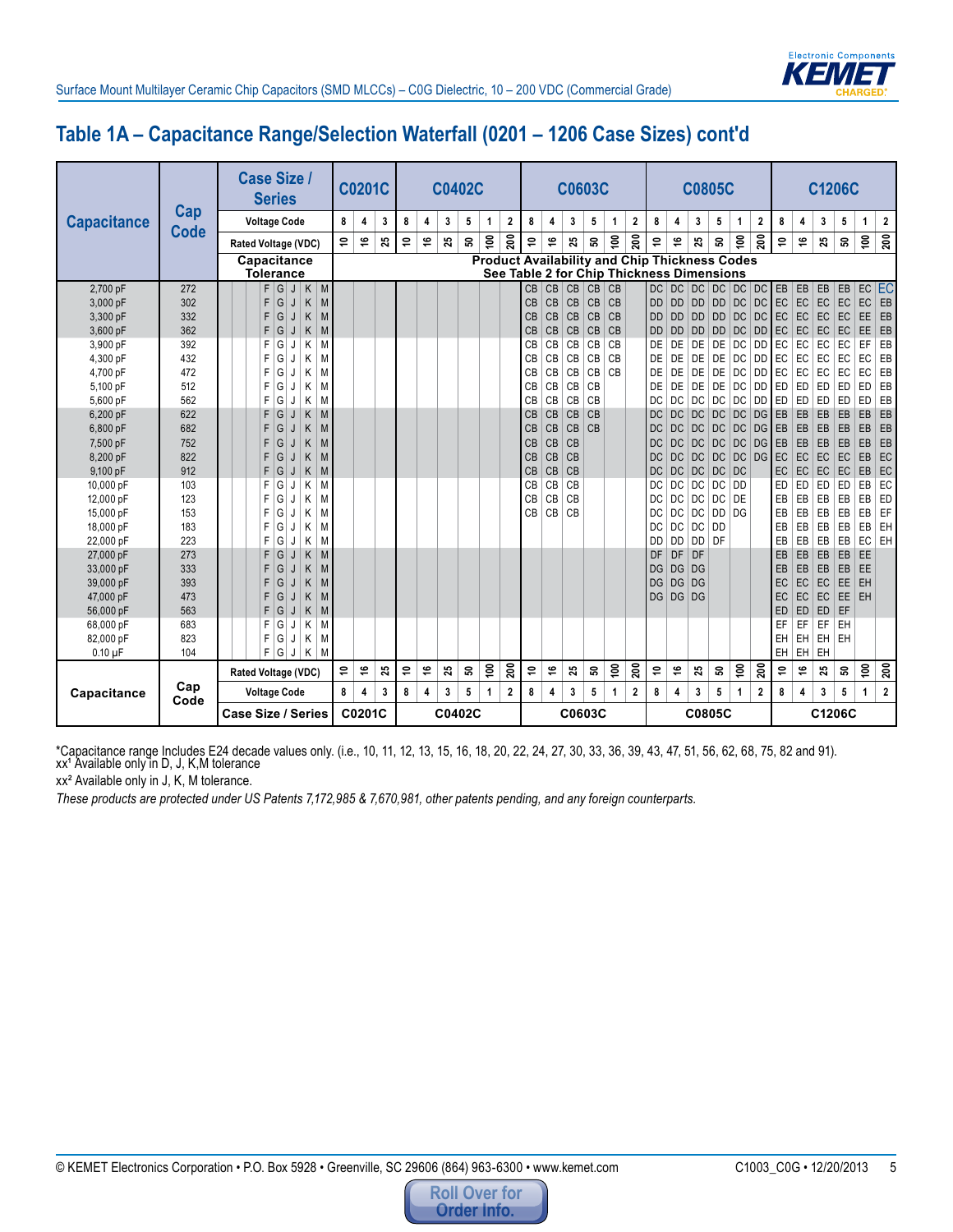

# **Table 1A – Capacitance Range/Selection Waterfall (0201 – 1206 Case Sizes) cont'd**

|                    |             |  |  | <b>Case Size /</b><br><b>Series</b> |     |    |              |   |       |   |        |   | <b>C0201C</b> |   |   | <b>C0402C</b> |    |               |             |           |           |    | <b>C0603C</b>  |               |                                                                                                   |           |           |                | <b>C0805C</b>   |                   |                         |           |    |           | C1206C    |                |                         |
|--------------------|-------------|--|--|-------------------------------------|-----|----|--------------|---|-------|---|--------|---|---------------|---|---|---------------|----|---------------|-------------|-----------|-----------|----|----------------|---------------|---------------------------------------------------------------------------------------------------|-----------|-----------|----------------|-----------------|-------------------|-------------------------|-----------|----|-----------|-----------|----------------|-------------------------|
| <b>Capacitance</b> | Cap         |  |  | <b>Voltage Code</b>                 |     |    |              |   |       | 8 |        | 4 | 3             | 8 | 4 | 3             | 5  | 1             | 2           | 8         | 4         | 3  | 5              | 1             | $\boldsymbol{2}$                                                                                  | 8         | 4         | 3              | 5               | 1                 | $\overline{\mathbf{2}}$ | 8         | 4  | 3         | 5         | $\mathbf{1}$   | $\boldsymbol{2}$        |
|                    | <b>Code</b> |  |  | Rated Voltage (VDC)                 |     |    |              |   |       | Ş |        | ۑ | 23            | Ş | 9 | 25            | ន  | $\tilde{e}$   | 200         | Ş         | ې         | 25 | ន              | $\frac{6}{2}$ | 200                                                                                               | ş         | ۑ         | 25             | ິລ              | $\tilde{e}$       | $\overline{200}$        | \$,       | ې  | 25        | ន         | $\overline{5}$ | $\overline{200}$        |
|                    |             |  |  | Capacitance<br><b>Tolerance</b>     |     |    |              |   |       |   |        |   |               |   |   |               |    |               |             |           |           |    |                |               | <b>Product Availability and Chip Thickness Codes</b><br>See Table 2 for Chip Thickness Dimensions |           |           |                |                 |                   |                         |           |    |           |           |                |                         |
| 2,700 pF           | 272         |  |  |                                     | F G |    | $\mathsf{J}$ |   | $K$ M |   |        |   |               |   |   |               |    |               |             | <b>CB</b> | CB        | CB | C <sub>B</sub> | CB            |                                                                                                   | <b>DC</b> |           |                |                 | DC DC DC DC DC EB |                         |           | EB | EB        | EB        |                | EC EC                   |
| 3,000 pF           | 302         |  |  | F                                   | G   | J  |              | Κ | M     |   |        |   |               |   |   |               |    |               |             | <b>CB</b> | <b>CB</b> | CB | C <sub>B</sub> | CB            |                                                                                                   | <b>DD</b> | <b>DD</b> | DD             |                 | DD DC             | DC                      | <b>EC</b> | EC | EC        | EC        | EC             | EB                      |
| 3,300 pF           | 332         |  |  | F                                   | G   | J  |              | K | M     |   |        |   |               |   |   |               |    |               |             | <b>CB</b> | <b>CB</b> | CB | CB             | CB            |                                                                                                   | <b>DD</b> | <b>DD</b> | $\overline{D}$ | DD              | DC                | DC                      | <b>EC</b> | EC | EC        | EC        | EE             | EB                      |
| 3,600 pF           | 362         |  |  | F.                                  | G   | J  |              | Κ | M     |   |        |   |               |   |   |               |    |               |             | <b>CB</b> | CB        | CB | CB             | CB            |                                                                                                   | <b>DD</b> | <b>DD</b> | <b>DD</b>      |                 | $DD$ $DC$         | <b>DD</b>               | EC        | EC | EC        | <b>EC</b> | EE.            | EB                      |
| 3,900 pF           | 392         |  |  | F                                   | G   | J  |              | Κ | M     |   |        |   |               |   |   |               |    |               |             | CB        | CB        | CB | CB             | CB            |                                                                                                   | DE        | DE        | DE             | DE              | <b>DC</b>         | <b>DD</b>               | EC        | EC | EC        | EC        | EF             | EB                      |
| 4,300 pF           | 432         |  |  | F                                   | G   | IJ |              | K | M     |   |        |   |               |   |   |               |    |               |             | CB        | CB        | CB | CB             | CB            |                                                                                                   | DE        | DE        | DE             | DE              | DC                | DD                      | EC        | EC | EC        | EC        | EC             | EB                      |
| 4,700 pF           | 472         |  |  | F                                   | G   | J  |              | Κ | M     |   |        |   |               |   |   |               |    |               |             | CB        | CB        | CB | CB             | CB            |                                                                                                   | DE        | DE        | DE             | <b>DE</b>       | <b>DC</b>         | <b>DD</b>               | EC        | EC | EC        | EC        | EC             | EB                      |
| 5,100 pF           | 512         |  |  | F                                   | G   | J  |              | Κ | M     |   |        |   |               |   |   |               |    |               |             | CB        | CB        | CB | CB             |               |                                                                                                   | DE        | DE        | DE             | DE              | DC                | DD.                     | ED        | ED | ED        | ED        | <b>ED</b>      | EB                      |
| 5,600 pF           | 562         |  |  | F                                   | G   | J  |              | Κ | M     |   |        |   |               |   |   |               |    |               |             | CB        | <b>CB</b> | CB | CB             |               |                                                                                                   | DC        | DC        | DC             | DC              | DC                | <b>DD</b>               | ED        | ED | ED        | ED        | ED             | EB                      |
| 6,200 pF           | 622         |  |  | F                                   | G   | IJ |              | K | M     |   |        |   |               |   |   |               |    |               |             | CB        | <b>CB</b> | CB | CB             |               |                                                                                                   | <b>DC</b> | <b>DC</b> | DC             | DC              | <b>DC</b>         | DG                      | EB        | EB | EB        | EB        | EB             | EB                      |
| 6,800 pF           | 682         |  |  | F                                   | G   | J  |              | Κ | M     |   |        |   |               |   |   |               |    |               |             | <b>CB</b> | <b>CB</b> | CB | C <sub>B</sub> |               |                                                                                                   | <b>DC</b> | <b>DC</b> | DC             | DC              | DC                | DG                      | EB        | EB | EB        | EB        | EB             | EB                      |
| 7,500 pF           | 752         |  |  | F                                   | G   | J  |              | Κ | M     |   |        |   |               |   |   |               |    |               |             | CB        | CB        | CB |                |               |                                                                                                   | <b>DC</b> | <b>DC</b> | DC             | DC              | DC                | DG                      | EB        | EB | EB        | EB        | EB             | EB                      |
| 8,200 pF           | 822         |  |  | F                                   | G   | IJ |              | Κ | M     |   |        |   |               |   |   |               |    |               |             | <b>CB</b> | CB        | CB |                |               |                                                                                                   | DC        | <b>DC</b> | DC             | DC.             | <b>DC</b>         | DG                      | EC        | EC | EC        | EC        | EB             | EC                      |
| 9,100 pF           | 912         |  |  | F                                   | G   | J  |              | Κ | M     |   |        |   |               |   |   |               |    |               |             | CB        | CB        | CB |                |               |                                                                                                   | <b>DC</b> | DC        | DC             |                 | DC DC             |                         | EC        | EC | EC        | EC        | EB             | EC                      |
| 10,000 pF          | 103         |  |  | F                                   | G   | J  |              | Κ | M     |   |        |   |               |   |   |               |    |               |             | <b>CB</b> | CB        | CB |                |               |                                                                                                   | DC        | DC        | DC.            |                 | DC   DD           |                         | ED        | ED | ED        | ED        | EB             | EC                      |
| 12,000 pF          | 123         |  |  | F                                   | G   | J  |              | Κ | M     |   |        |   |               |   |   |               |    |               |             | <b>CB</b> | <b>CB</b> | CB |                |               |                                                                                                   | DC        | <b>DC</b> | DC             | <b>DC</b>       | DE                |                         | EB        | EB | EB        | EB        | EB             | ED                      |
| 15,000 pF          | 153         |  |  | F                                   | G   |    |              | K | M     |   |        |   |               |   |   |               |    |               |             | CB        | CB        | CB |                |               |                                                                                                   | DC        | DC        | DC             |                 | $DD$ $DG$         |                         | EB        | EB | EB        | EB        | EB             | EF                      |
| 18,000 pF          | 183         |  |  | F                                   | G   |    |              | Κ | M     |   |        |   |               |   |   |               |    |               |             |           |           |    |                |               |                                                                                                   | DC        | DC        | DC             | <b>DD</b>       |                   |                         | EB        | EB | EB        | EB        | EB             | EH                      |
| 22,000 pF          | 223         |  |  | F                                   | G   | J  |              | K | M     |   |        |   |               |   |   |               |    |               |             |           |           |    |                |               |                                                                                                   | DD        | <b>DD</b> | <b>DD</b>      | DF              |                   |                         | EB        | EB | EB        | EB        | EC             | EH                      |
| 27,000 pF          | 273         |  |  | F                                   | G   | J  |              | Κ | M     |   |        |   |               |   |   |               |    |               |             |           |           |    |                |               |                                                                                                   | DF        | DF        | DF             |                 |                   |                         | EB        | EB | EB        | EB        | EE             |                         |
| 33,000 pF          | 333         |  |  | F                                   | G   | J  |              | Κ | M     |   |        |   |               |   |   |               |    |               |             |           |           |    |                |               |                                                                                                   | DG        | DG DG     |                |                 |                   |                         | EB        | EB | EB        | EB        | EE             |                         |
| 39,000 pF          | 393         |  |  | F                                   | G   | J  |              | Κ | M     |   |        |   |               |   |   |               |    |               |             |           |           |    |                |               |                                                                                                   | <b>DG</b> | <b>DG</b> | DG             |                 |                   |                         | EC        | EC | EC        | EE        | EH             |                         |
| 47,000 pF          | 473         |  |  | F                                   | G   | J  |              | Κ | M     |   |        |   |               |   |   |               |    |               |             |           |           |    |                |               |                                                                                                   | <b>DG</b> | DG DG     |                |                 |                   |                         | EC        | EC | EC        | EE        | EH             |                         |
| 56,000 pF          | 563         |  |  | F                                   | G   | J  |              | Κ | M     |   |        |   |               |   |   |               |    |               |             |           |           |    |                |               |                                                                                                   |           |           |                |                 |                   |                         | ED        | ED | <b>ED</b> | EF        |                |                         |
| 68,000 pF          | 683         |  |  | F                                   | G   | J  |              | Κ | M     |   |        |   |               |   |   |               |    |               |             |           |           |    |                |               |                                                                                                   |           |           |                |                 |                   |                         | EF        | EF | EF        | EH        |                |                         |
| 82,000 pF          | 823         |  |  | F                                   | G   | J  |              | Κ | M     |   |        |   |               |   |   |               |    |               |             |           |           |    |                |               |                                                                                                   |           |           |                |                 |                   |                         | EH<br>EH  | EH | EH.       | EH        |                |                         |
| $0.10 \mu F$       | 104         |  |  | F.                                  | G   | J  |              | Κ | M     |   |        |   |               |   |   |               |    |               |             |           |           |    |                |               |                                                                                                   |           |           |                |                 |                   |                         |           | EH | EH        |           |                |                         |
|                    | Cap         |  |  | Rated Voltage (VDC)                 |     |    |              |   |       | ₽ |        | ې | 25            | ₽ | پ | 25            | ິລ | $\frac{6}{2}$ | ລິ          | \$,       | ۑ         | 25 | ន              | $\tilde{e}$   | ລິ                                                                                                | ۵Ļ        | ې         | 25             | ន               | $\tilde{e}$       | 200                     | \$,       | ې  | 25        | ន         | 100            | $\overline{5}$          |
| Capacitance        | Code        |  |  | <b>Voltage Code</b>                 |     |    |              |   |       | 8 |        | 4 | 3             | 8 | 4 | 3             | 5  | 1             | $\mathbf 2$ | 8         | 4         | 3  | 5              | 1             | $\overline{\mathbf{2}}$                                                                           | 8         | 4         | 3              | $5\phantom{.0}$ | $\mathbf{1}$      | $\overline{2}$          | 8         | 4  | 3         | 5         | $\mathbf{1}$   | $\overline{\mathbf{c}}$ |
|                    |             |  |  | <b>Case Size / Series</b>           |     |    |              |   |       |   | C0201C |   |               |   |   | C0402C        |    |               |             |           |           |    | C0603C         |               |                                                                                                   |           |           |                | C0805C          |                   |                         |           |    |           | C1206C    |                |                         |

\*Capacitance range Includes E24 decade values only. (i.e., 10, 11, 12, 13, 15, 16, 18, 20, 22, 24, 27, 30, 33, 36, 39, 43, 47, 51, 56, 62, 68, 75, 82 and 91). xx<sup>1</sup> Available only in D, J, K,M tolerance

xx² Available only in J, K, M tolerance.

*These products are protected under US Patents 7,172,985 & 7,670,981, other patents pending, and any foreign counterparts.*

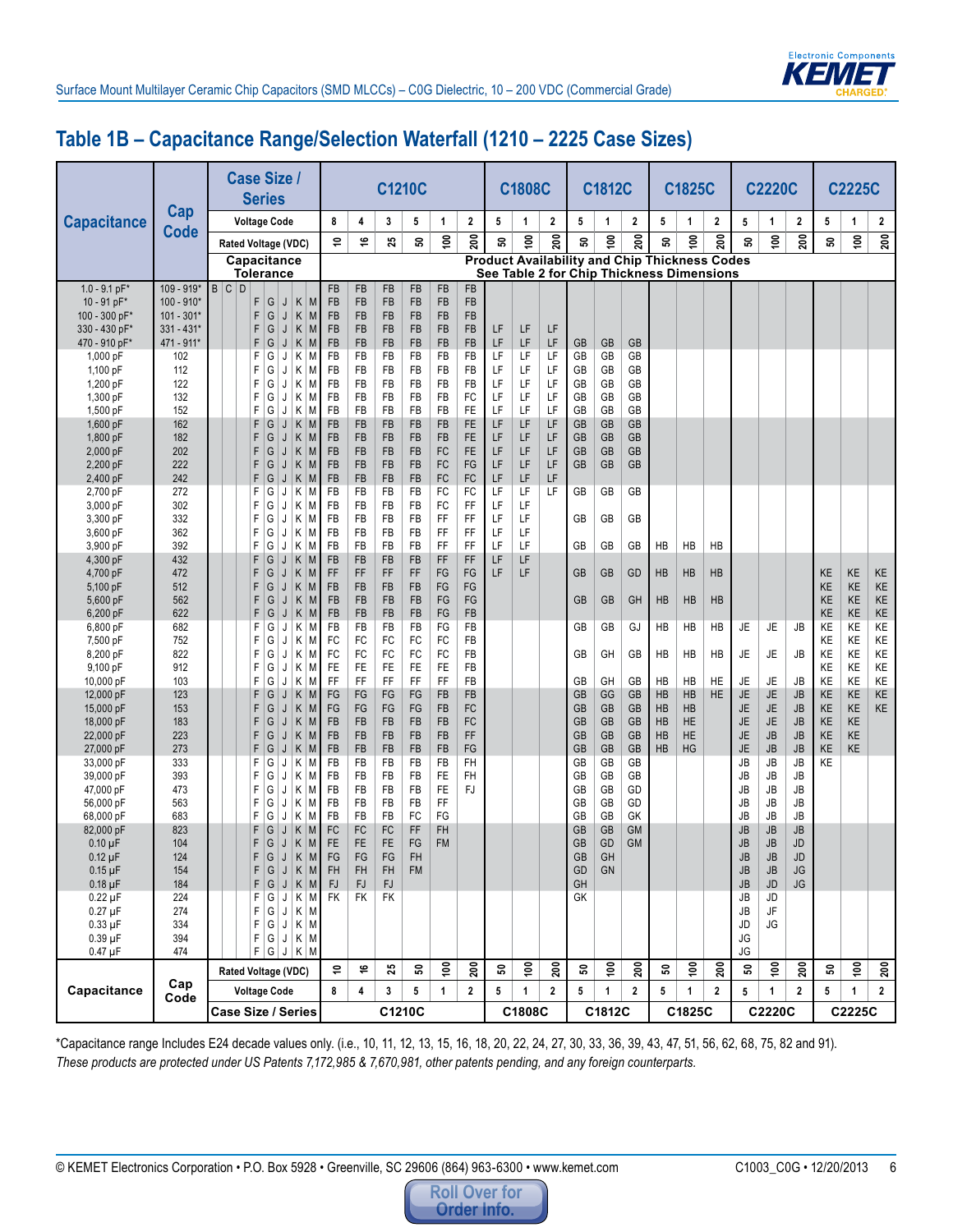

#### **Table 1B – Capacitance Range/Selection Waterfall (1210 – 2225 Case Sizes)**

|                              |                    |       | <b>Series</b>       |        |              | <b>Case Size /</b>         |                 |                        |                        | <b>C1210C</b>   |                 |                        |          | <b>C1808C</b>   |             |                                                      | C1812C          |                         |                 | C1825C         |                 |                 | <b>C2220C</b>          |                        |          | <b>C2225C</b>   |                  |
|------------------------------|--------------------|-------|---------------------|--------|--------------|----------------------------|-----------------|------------------------|------------------------|-----------------|-----------------|------------------------|----------|-----------------|-------------|------------------------------------------------------|-----------------|-------------------------|-----------------|----------------|-----------------|-----------------|------------------------|------------------------|----------|-----------------|------------------|
| <b>Capacitance</b>           | Cap<br><b>Code</b> |       | <b>Voltage Code</b> |        |              |                            | 8               | 4                      | 3                      | 5               | 1               | $\mathbf 2$            | 5        | 1               | $\mathbf 2$ | 5                                                    | 1               | $\overline{\mathbf{2}}$ | 5               | $\mathbf{1}$   | 2               | 5               | 1                      | $\mathbf 2$            | 5        | 1               | $\boldsymbol{2}$ |
|                              |                    |       |                     |        |              | Rated Voltage (VDC)        | ş               | ې                      | 25                     | ន               | $\tilde{e}$     | 200                    | ິລ       | $\tilde{e}$     | 200         | ន                                                    | ទី              | 200                     | ន               | $\frac{6}{10}$ | 200             | ន               | $\frac{6}{2}$          | $\approx$              | ន        | $\overline{5}$  | $\overline{200}$ |
|                              |                    |       |                     |        |              | Capacitance                |                 |                        |                        |                 |                 |                        |          |                 |             | <b>Product Availability and Chip Thickness Codes</b> |                 |                         |                 |                |                 |                 |                        |                        |          |                 |                  |
| $1.0 - 9.1$ pF*              | 109 - 919*         | B C D | <b>Tolerance</b>    |        |              |                            | <b>FB</b>       | <b>FB</b>              | <b>FB</b>              | FB              | <b>FB</b>       | <b>FB</b>              |          |                 |             | See Table 2 for Chip Thickness Dimensions            |                 |                         |                 |                |                 |                 |                        |                        |          |                 |                  |
| 10 - 91 pF*                  | $100 - 910*$       |       | F                   | G      |              | $K$ M<br>J                 | FB              | FB                     | <b>FB</b>              | FB              | FB              | FB                     |          |                 |             |                                                      |                 |                         |                 |                |                 |                 |                        |                        |          |                 |                  |
| 100 - 300 pF*                | $101 - 301*$       |       | F                   | G      |              | K<br>J<br>M                | FB              | <b>FB</b>              | <b>FB</b>              | FB              | FB              | <b>FB</b>              |          |                 |             |                                                      |                 |                         |                 |                |                 |                 |                        |                        |          |                 |                  |
| 330 - 430 pF*                | $331 - 431*$       |       | F                   | G      |              | J<br>Κ<br>M                | FB              | <b>FB</b>              | <b>FB</b>              | FB              | <b>FB</b>       | FB                     | LF       | LF              | LF          |                                                      |                 |                         |                 |                |                 |                 |                        |                        |          |                 |                  |
| 470 - 910 pF*<br>1,000 pF    | 471 - 911*<br>102  |       | F<br>F              | G<br>G |              | J<br>K<br>M<br>Κ<br>M<br>J | <b>FB</b><br>FB | <b>FB</b><br><b>FB</b> | FB<br><b>FB</b>        | FB<br><b>FB</b> | <b>FB</b><br>FB | <b>FB</b><br><b>FB</b> | LF<br>LF | LF<br>LF        | LF<br>LF    | GB<br>GB                                             | <b>GB</b><br>GB | GB<br>GB                |                 |                |                 |                 |                        |                        |          |                 |                  |
| 1,100 pF                     | 112                |       | F                   | G      |              | K<br>J<br>M                | FB              | <b>FB</b>              | FB                     | FB              | FB              | <b>FB</b>              | LF       | LF              | LF          | GB                                                   | GB              | GB                      |                 |                |                 |                 |                        |                        |          |                 |                  |
| 1.200 pF                     | 122                |       | F                   | G      |              | J<br>K<br>M                | FB              | FB                     | FB                     | FB              | FB              | FB                     | LF       | LF              | LF          | GB                                                   | GB              | GB                      |                 |                |                 |                 |                        |                        |          |                 |                  |
| 1,300 pF                     | 132                |       | F                   | G      |              | K<br>M<br>J                | FB              | FB                     | FB                     | FB              | FB              | FC                     | LF       | LF              | LF          | GB                                                   | GB              | GB                      |                 |                |                 |                 |                        |                        |          |                 |                  |
| 1,500 pF                     | 152                |       | F                   | G      |              | Κ<br>J<br>M                | <b>FB</b>       | <b>FB</b>              | <b>FB</b>              | <b>FB</b>       | FB              | <b>FE</b>              | LF       | LF              | LF          | GB                                                   | GB              | GB                      |                 |                |                 |                 |                        |                        |          |                 |                  |
| 1,600 pF                     | 162                |       | F                   | G      |              | K<br>M<br>J                | FB              | <b>FB</b>              | <b>FB</b>              | FB              | FB              | <b>FE</b>              | LF       | LF              | LF          | <b>GB</b>                                            | <b>GB</b>       | <b>GB</b>               |                 |                |                 |                 |                        |                        |          |                 |                  |
| 1,800 pF                     | 182                |       | F                   | G      |              | K<br>J<br>M                | FB              | <b>FB</b>              | <b>FB</b>              | FB              | FB              | <b>FE</b>              | LF       | LF              | LF          | <b>GB</b>                                            | <b>GB</b>       | <b>GB</b>               |                 |                |                 |                 |                        |                        |          |                 |                  |
| 2,000 pF                     | 202                |       | F                   | G      |              | Κ<br>J<br>M                | FB              | <b>FB</b>              | <b>FB</b>              | FB              | FC              | <b>FE</b>              | LF<br>LF | LF              | LF          | <b>GB</b>                                            | <b>GB</b>       | <b>GB</b>               |                 |                |                 |                 |                        |                        |          |                 |                  |
| 2,200 pF<br>2,400 pF         | 222<br>242         |       | F<br>F              | G<br>G |              | K<br>J<br>M<br>K<br>J<br>M | FB<br>FB        | <b>FB</b><br><b>FB</b> | <b>FB</b><br><b>FB</b> | <b>FB</b><br>FB | FC<br>FC        | FG<br><b>FC</b>        | LF       | LF<br>LF        | LF<br>LF    | <b>GB</b>                                            | <b>GB</b>       | GB                      |                 |                |                 |                 |                        |                        |          |                 |                  |
| 2,700 pF                     | 272                |       | F                   | G      |              | J<br>К<br>M                | FB              | <b>FB</b>              | <b>FB</b>              | <b>FB</b>       | FC              | FC                     | LF       | LF              | LF          | GB                                                   | GB              | GB                      |                 |                |                 |                 |                        |                        |          |                 |                  |
| 3.000 pF                     | 302                |       | F                   | G      |              | J<br>К<br>M                | FB              | <b>FB</b>              | FB                     | FB              | FC              | FF                     | LF       | LF              |             |                                                      |                 |                         |                 |                |                 |                 |                        |                        |          |                 |                  |
| 3,300 pF                     | 332                |       | F                   | G      |              | J<br>Κ<br>M                | FB              | FB                     | FB                     | FB              | FF              | FF                     | LF       | LF              |             | GB                                                   | GB              | GB                      |                 |                |                 |                 |                        |                        |          |                 |                  |
| 3,600 pF                     | 362                |       | F                   | G      |              | K<br>J<br>M                | FB              | <b>FB</b>              | FB                     | FB              | FF              | FF                     | LF       | LF              |             |                                                      |                 |                         |                 |                |                 |                 |                        |                        |          |                 |                  |
| 3,900 pF                     | 392                |       | F                   | G      |              | J<br>Κ<br>М                | FB              | <b>FB</b>              | <b>FB</b>              | <b>FB</b>       | FF.             | FF                     | LF       | LF              |             | GB                                                   | GB              | GB                      | <b>HB</b>       | <b>HB</b>      | HB              |                 |                        |                        |          |                 |                  |
| 4,300 pF                     | 432                |       | F                   | G      |              | K<br>M<br>J                | FB              | <b>FB</b>              | FB                     | FB              | FF.             | FF                     | LF       | LF              |             |                                                      |                 |                         |                 |                |                 |                 |                        |                        |          |                 |                  |
| 4,700 pF<br>5,100 pF         | 472<br>512         |       | F<br>F              | G<br>G |              | Κ<br>J<br>M<br>Κ<br>J<br>M | FF<br><b>FB</b> | FF<br><b>FB</b>        | FF<br>FB               | FF<br><b>FB</b> | FG<br>FG        | FG<br>FG               | LF       | LF              |             | GB                                                   | <b>GB</b>       | GD                      | HB              | <b>HB</b>      | <b>HB</b>       |                 |                        |                        | KE<br>KE | KE<br>KE        | KE<br>KE         |
| 5,600 pF                     | 562                |       | F                   | G      |              | K<br>J<br>M                | FB              | <b>FB</b>              | FB                     | FB              | FG              | FG                     |          |                 |             | <b>GB</b>                                            | GB              | GH                      | HB              | HB             | HB              |                 |                        |                        | KE       | KE              | KE               |
| 6,200 pF                     | 622                |       | F                   | G      |              | $\bigcup$<br>K<br>M        | FB              | <b>FB</b>              | <b>FB</b>              | <b>FB</b>       | FG              | <b>FB</b>              |          |                 |             |                                                      |                 |                         |                 |                |                 |                 |                        |                        | KE       | KE              | KE               |
| 6,800 pF                     | 682                |       | F                   | G      |              | Κ<br>J<br>M                | FB              | FB                     | FB                     | <b>FB</b>       | FG              | <b>FB</b>              |          |                 |             | GB                                                   | GB              | GJ                      | <b>HB</b>       | HB             | HB              | JE              | JE                     | JB                     | ΚE       | KE              | KE               |
| 7,500 pF                     | 752                |       | F                   | G      |              | J<br>K<br>M                | FC              | FC                     | FC                     | FC              | FC              | <b>FB</b>              |          |                 |             |                                                      |                 |                         |                 |                |                 |                 |                        |                        | KE       | KE              | KE               |
| 8,200 pF                     | 822                |       | F                   | G      |              | Κ<br>M<br>J                | FC              | FC                     | FC                     | FC              | FC              | FB                     |          |                 |             | GB                                                   | GH              | GB                      | HB              | HB             | HB              | JE              | JE                     | JB                     | KE       | KE              | KE               |
| 9,100 pF                     | 912                |       | F                   | G      |              | Κ<br>M<br>J                | FE              | <b>FE</b>              | FE                     | FE              | FE              | FB                     |          |                 |             |                                                      |                 |                         |                 |                |                 |                 |                        |                        | KE       | KE              | KE               |
| 10,000 pF                    | 103<br>123         |       | F<br>F              | G      |              | Κ<br>J<br>M                | FF              | FF<br>FG               | FF<br>FG               | FF<br>FG        | FF<br><b>FB</b> | <b>FB</b><br><b>FB</b> |          |                 |             | GB<br><b>GB</b>                                      | GH              | GB<br>GB                | <b>HB</b><br>HB | HB<br>HB       | HE<br><b>HE</b> | JE<br><b>JE</b> | <b>JE</b>              | JB                     | KE<br>KE | KE<br><b>KE</b> | KE<br>KE         |
| 12,000 pF<br>15,000 pF       | 153                |       | F                   | G<br>G |              | Κ<br>J<br>M<br>K<br>J<br>M | FG<br>FG        | FG                     | FG                     | FG              | FB              | FC                     |          |                 |             | <b>GB</b>                                            | GG<br>GB        | <b>GB</b>               | HB              | HB             |                 | JE              | <b>JE</b><br><b>JE</b> | <b>JB</b><br><b>JB</b> | KE       | KE              | KE               |
| 18,000 pF                    | 183                |       | F                   | G      |              | K<br>J<br>M                | FB              | <b>FB</b>              | <b>FB</b>              | FB              | <b>FB</b>       | FC                     |          |                 |             | GB                                                   | <b>GB</b>       | <b>GB</b>               | HB              | <b>HE</b>      |                 | JE              | <b>JE</b>              | <b>JB</b>              | KE       | <b>KE</b>       |                  |
| 22,000 pF                    | 223                |       | F                   | G      |              | J<br>K<br>M                | FB              | <b>FB</b>              | <b>FB</b>              | FB              | <b>FB</b>       | FF                     |          |                 |             | <b>GB</b>                                            | <b>GB</b>       | <b>GB</b>               | <b>HB</b>       | <b>HE</b>      |                 | JE              | <b>JB</b>              | <b>JB</b>              | KE       | <b>KE</b>       |                  |
| 27,000 pF                    | 273                |       | F                   | G      |              | J<br>K<br>M                | FB              | <b>FB</b>              | <b>FB</b>              | FB              | FB              | FG                     |          |                 |             | <b>GB</b>                                            | <b>GB</b>       | GB                      | <b>HB</b>       | HG             |                 | JE              | <b>JB</b>              | <b>JB</b>              | KE       | <b>KE</b>       |                  |
| 33.000 pF                    | 333                |       | F                   | G      |              | К<br>J<br>M                | FB              | <b>FB</b>              | <b>FB</b>              | <b>FB</b>       | <b>FB</b>       | <b>FH</b>              |          |                 |             | GB                                                   | GB              | GB                      |                 |                |                 | JB              | JB                     | <b>JB</b>              | KE       |                 |                  |
| 39,000 pF                    | 393                |       | F                   | G      |              | J<br>К<br>M                | FB              | FB                     | FB                     | FB              | FE              | FH                     |          |                 |             | GB                                                   | GB              | GB                      |                 |                |                 | JB              | JB                     | JB                     |          |                 |                  |
| 47,000 pF                    | 473                |       | F                   | G      |              | Κ<br>J<br>M                | FB              | FB                     | FB                     | FB              | <b>FE</b>       | <b>FJ</b>              |          |                 |             | GB                                                   | GB              | GD                      |                 |                |                 | JB              | JB                     | JB                     |          |                 |                  |
| 56,000 pF<br>68.000 pF       | 563<br>683         |       | F<br>F              | G<br>G |              | Κ<br>J<br>M<br>Κ<br>J<br>М | FB<br>FB        | <b>FB</b><br><b>FB</b> | FB<br>FB               | <b>FB</b><br>FC | FF<br>FG        |                        |          |                 |             | GB<br>GB                                             | GB<br>GB        | GD<br>GK                |                 |                |                 | JB<br>JB        | JB<br><b>JB</b>        | JB<br>JB               |          |                 |                  |
| 82,000 pF                    | 823                |       | F                   | G      |              | K<br>J<br>M                | <b>FC</b>       | FC                     | <b>FC</b>              | FF              | <b>FH</b>       |                        |          |                 |             | <b>GB</b>                                            | <b>GB</b>       | <b>GM</b>               |                 |                |                 | <b>JB</b>       | <b>JB</b>              | JB                     |          |                 |                  |
| $0.10 \mu F$                 | 104                |       | F                   | G      |              | K<br>J<br>M                | <b>FE</b>       | <b>FE</b>              | <b>FE</b>              | FG              | <b>FM</b>       |                        |          |                 |             | <b>GB</b>                                            | GD              | <b>GM</b>               |                 |                |                 | <b>JB</b>       | <b>JB</b>              | JD                     |          |                 |                  |
| $0.12 \mu F$                 | 124                |       | F                   | G      | $\mathsf{J}$ | $K$ $M$                    | FG              | $\mathsf{FG}$          | $\mathsf{FG}$          | ${\sf FH}$      |                 |                        |          |                 |             | $\mathsf{GB}$                                        | GH              |                         |                 |                |                 | $\mathsf{JB}$   | $\mathsf{JB}$          | $\mathsf{J}\mathsf{D}$ |          |                 |                  |
| $0.15 \mu F$                 | 154                |       |                     | F      |              | $G$ J $K$ $M$              | <b>FH</b>       | <b>FH</b>              | <b>FH</b>              | FM              |                 |                        |          |                 |             | GD                                                   | <b>GN</b>       |                         |                 |                |                 | JB              | JB                     | JG                     |          |                 |                  |
| $0.18 \mu F$                 | 184                |       |                     |        |              | F G J K M                  | FJ              | FJ                     | <b>FJ</b>              |                 |                 |                        |          |                 |             | GH                                                   |                 |                         |                 |                |                 | JB              | $\mathsf{J}\mathsf{D}$ | <b>JG</b>              |          |                 |                  |
| $0.22 \mu F$                 | 224                |       | F                   |        |              | $G$ J $K$ M                | FK              | <b>FK</b>              | FK                     |                 |                 |                        |          |                 |             | GK                                                   |                 |                         |                 |                |                 | JB              | JD                     |                        |          |                 |                  |
| $0.27 \mu F$                 | 274                |       |                     | F.     | $ G $ J      | $K$ M                      |                 |                        |                        |                 |                 |                        |          |                 |             |                                                      |                 |                         |                 |                |                 | JB              | JF                     |                        |          |                 |                  |
| $0.33 \mu F$<br>$0.39 \mu F$ | 334<br>394         |       |                     | F<br>F | $ G $ J      | $K$ M<br>$ G $ J $ K $ M   |                 |                        |                        |                 |                 |                        |          |                 |             |                                                      |                 |                         |                 |                |                 | JD<br>JG        | JG                     |                        |          |                 |                  |
| $0.47 \mu F$                 | 474                |       | F                   |        |              | GJK/M                      |                 |                        |                        |                 |                 |                        |          |                 |             |                                                      |                 |                         |                 |                |                 | JG              |                        |                        |          |                 |                  |
|                              |                    |       |                     |        |              | Rated Voltage (VDC)        | ş               | پ                      | 25                     | ន               | $\mathsf{S}^0$  | 200                    | ន        | $\frac{8}{100}$ | 200         | ន                                                    | $\tilde{e}$     | 200                     | ន               | $\tilde{e}$    | 200             | ន               | $\overline{5}$         | 200                    | ន        | $\mathsf{S}^0$  | 200              |
| Capacitance                  | Cap                |       | <b>Voltage Code</b> |        |              |                            | 8               | 4                      | 3                      | 5               | 1               | $\mathbf{2}$           | 5        | $\mathbf{1}$    | 2           | 5                                                    | 1               | 2                       | 5               | 1              | $\mathbf{2}$    | 5               | 1                      | 2                      | 5        | 1               | $\mathbf{2}$     |
|                              | Code               |       |                     |        |              | <b>Case Size / Series</b>  |                 |                        |                        | C1210C          |                 |                        |          | C1808C          |             |                                                      | C1812C          |                         |                 | C1825C         |                 |                 | C2220C                 |                        |          | C2225C          |                  |

\*Capacitance range Includes E24 decade values only. (i.e., 10, 11, 12, 13, 15, 16, 18, 20, 22, 24, 27, 30, 33, 36, 39, 43, 47, 51, 56, 62, 68, 75, 82 and 91). *These products are protected under US Patents 7,172,985 & 7,670,981, other patents pending, and any foreign counterparts.*

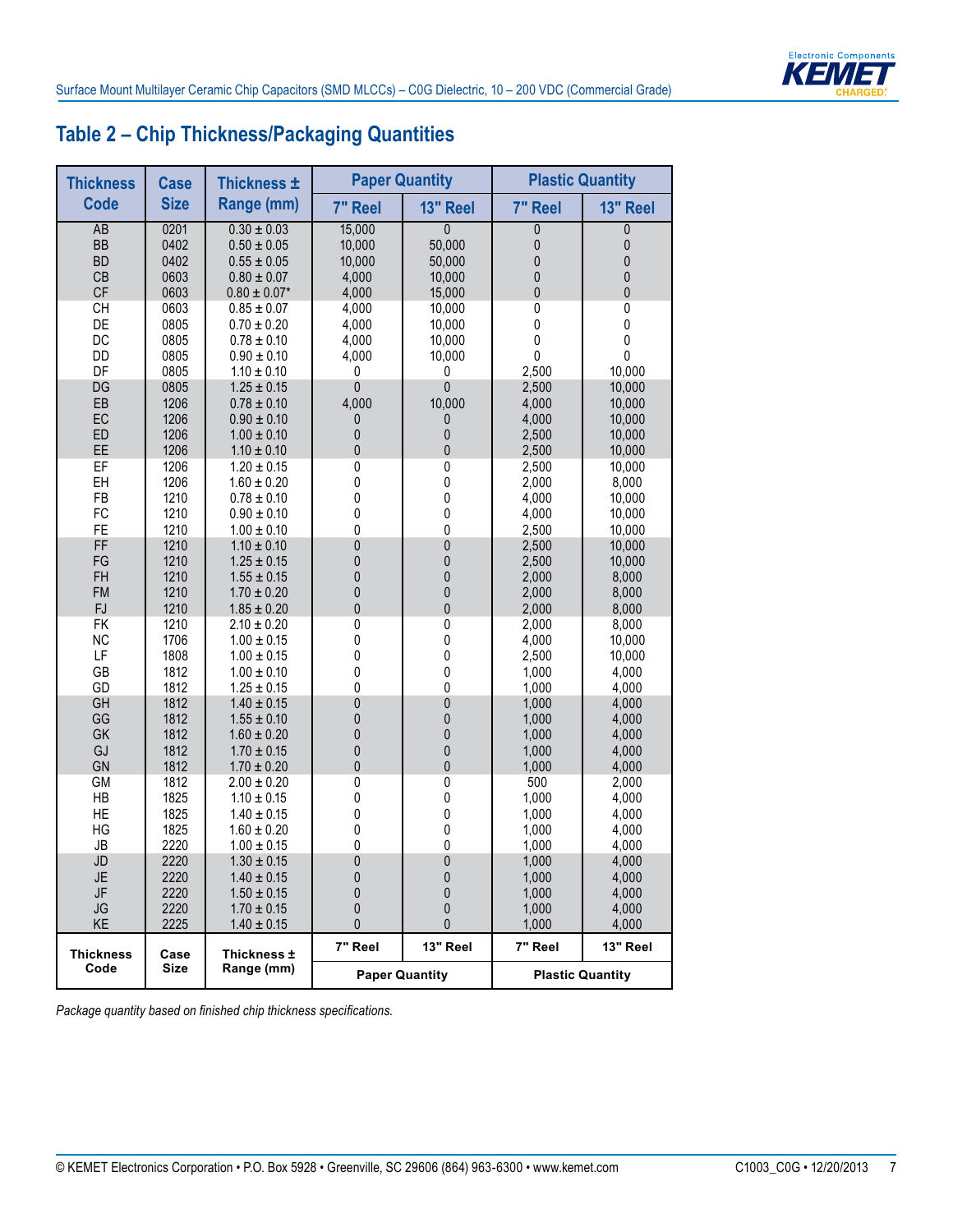

# **Table 2 – Chip Thickness/Packaging Quantities**

| <b>Thickness</b> | <b>Case</b> | Thickness ±      |              | <b>Paper Quantity</b> |             | <b>Plastic Quantity</b> |
|------------------|-------------|------------------|--------------|-----------------------|-------------|-------------------------|
| <b>Code</b>      | <b>Size</b> | Range (mm)       | 7" Reel      | 13" Reel              | 7" Reel     | 13" Reel                |
| AB               | 0201        | $0.30 \pm 0.03$  | 15,000       | $\mathbf{0}$          | 0           | 0                       |
| BB               | 0402        | $0.50 \pm 0.05$  | 10,000       | 50,000                | 0           | 0                       |
| <b>BD</b>        | 0402        | $0.55 \pm 0.05$  | 10,000       | 50,000                | $\pmb{0}$   | 0                       |
| CB               | 0603        | $0.80 \pm 0.07$  | 4,000        | 10,000                | $\pmb{0}$   | $\pmb{0}$               |
| CF               | 0603        | $0.80 \pm 0.07*$ | 4,000        | 15,000                | $\mathbf 0$ | $\pmb{0}$               |
| <b>CH</b>        | 0603        | $0.85 \pm 0.07$  | 4,000        | 10,000                | 0           | 0                       |
| DE               | 0805        | $0.70 \pm 0.20$  | 4,000        | 10,000                | 0           | $\mathbf 0$             |
| DC               | 0805        | $0.78 \pm 0.10$  | 4,000        | 10,000                | $\pmb{0}$   | $\pmb{0}$               |
| DD               | 0805        | $0.90 \pm 0.10$  | 4,000        | 10,000                | $\pmb{0}$   | 0                       |
| DF               | 0805        | $1.10 \pm 0.10$  | 0            | 0                     | 2,500       | 10,000                  |
| DG               | 0805        | $1.25 \pm 0.15$  | $\mathbf 0$  | 0                     | 2,500       | 10,000                  |
| EB               | 1206        | $0.78 \pm 0.10$  | 4,000        | 10,000                | 4,000       | 10,000                  |
| EC               | 1206        | $0.90 \pm 0.10$  | 0            | 0                     | 4,000       | 10,000                  |
| ED               | 1206        | $1.00 \pm 0.10$  | $\pmb{0}$    | 0                     | 2,500       | 10,000                  |
| EE               | 1206        | $1.10 \pm 0.10$  | $\pmb{0}$    | 0                     | 2,500       | 10,000                  |
| EF               | 1206        | $1.20 \pm 0.15$  | 0            | 0                     | 2,500       | 10,000                  |
| EH               | 1206        | $1.60 \pm 0.20$  | 0            | 0                     | 2,000       | 8,000                   |
| FB               | 1210        | $0.78 \pm 0.10$  | 0            | 0                     | 4,000       | 10,000                  |
| FC               | 1210        | $0.90 \pm 0.10$  | 0            | 0                     | 4,000       | 10,000                  |
| FE               | 1210        | $1.00 \pm 0.10$  | 0            | 0                     | 2,500       | 10,000                  |
| FF               | 1210        | $1.10 \pm 0.10$  | $\pmb{0}$    | 0                     | 2,500       | 10,000                  |
| FG               | 1210        | $1.25 \pm 0.15$  | $\pmb{0}$    | 0                     | 2,500       | 10,000                  |
| FH               | 1210        | $1.55 \pm 0.15$  | $\mathbf 0$  | 0                     | 2,000       | 8,000                   |
| <b>FM</b>        | 1210        | $1.70 \pm 0.20$  | $\pmb{0}$    | 0                     | 2,000       | 8,000                   |
| <b>FJ</b>        | 1210        | $1.85 \pm 0.20$  | 0            | 0                     | 2,000       | 8,000                   |
| <b>FK</b>        | 1210        | $2.10 \pm 0.20$  | $\pmb{0}$    | 0                     | 2,000       | 8,000                   |
| <b>NC</b>        | 1706        | $1.00 \pm 0.15$  | 0            | 0                     | 4,000       | 10,000                  |
| LF               | 1808        | $1.00 \pm 0.15$  | 0            | 0                     | 2,500       | 10,000                  |
| GB               | 1812        | $1.00 \pm 0.10$  | 0            | 0                     | 1,000       | 4,000                   |
| GD               | 1812        | $1.25 \pm 0.15$  | 0            | 0                     | 1,000       | 4,000                   |
| GH               | 1812        | $1.40 \pm 0.15$  | $\pmb{0}$    | 0                     | 1,000       | 4,000                   |
| GG               | 1812        | $1.55 \pm 0.10$  | $\pmb{0}$    | 0                     | 1,000       | 4,000                   |
| GK               | 1812        | $1.60 \pm 0.20$  | $\pmb{0}$    | 0                     | 1,000       | 4,000                   |
| GJ               | 1812        | $1.70 \pm 0.15$  | $\pmb{0}$    | 0                     | 1,000       | 4,000                   |
| GN               | 1812        | $1.70 \pm 0.20$  | $\pmb{0}$    | 0                     | 1,000       | 4,000                   |
| <b>GM</b>        | 1812        | $2.00 \pm 0.20$  | 0            | 0                     | 500         | 2,000                   |
| HB               | 1825        | $1.10 \pm 0.15$  | 0            | 0                     | 1,000       | 4,000                   |
| HE               | 1825        | $1.40 \pm 0.15$  | 0            | 0                     | 1,000       | 4,000                   |
| HG               | 1825        | $1.60 \pm 0.20$  | 0            | 0                     | 1,000       | 4,000                   |
| ${\sf JB}$       | 2220        | $1.00 \pm 0.15$  | 0            | 0                     | 1,000       | 4,000                   |
| JD               | 2220        | $1.30 \pm 0.15$  | $\pmb{0}$    | 0                     | 1,000       | 4,000                   |
| JE               | 2220        | $1.40 \pm 0.15$  | 0            | 0                     | 1,000       | 4,000                   |
| JF               | 2220        | $1.50 \pm 0.15$  | $\mathbf{0}$ | $\mathbf{0}$          | 1,000       | 4,000                   |
| <b>JG</b>        | 2220        | $1.70 \pm 0.15$  | 0            | 0                     | 1,000       | 4,000                   |
| KE               | 2225        | $1.40 \pm 0.15$  | 0            | 0                     | 1,000       | 4,000                   |
| <b>Thickness</b> | Case        | Thickness ±      | 7" Reel      | 13" Reel              | 7" Reel     | 13" Reel                |
| Code             | Size        | Range (mm)       |              | <b>Paper Quantity</b> |             | <b>Plastic Quantity</b> |

*Package quantity based on finished chip thickness specifications.*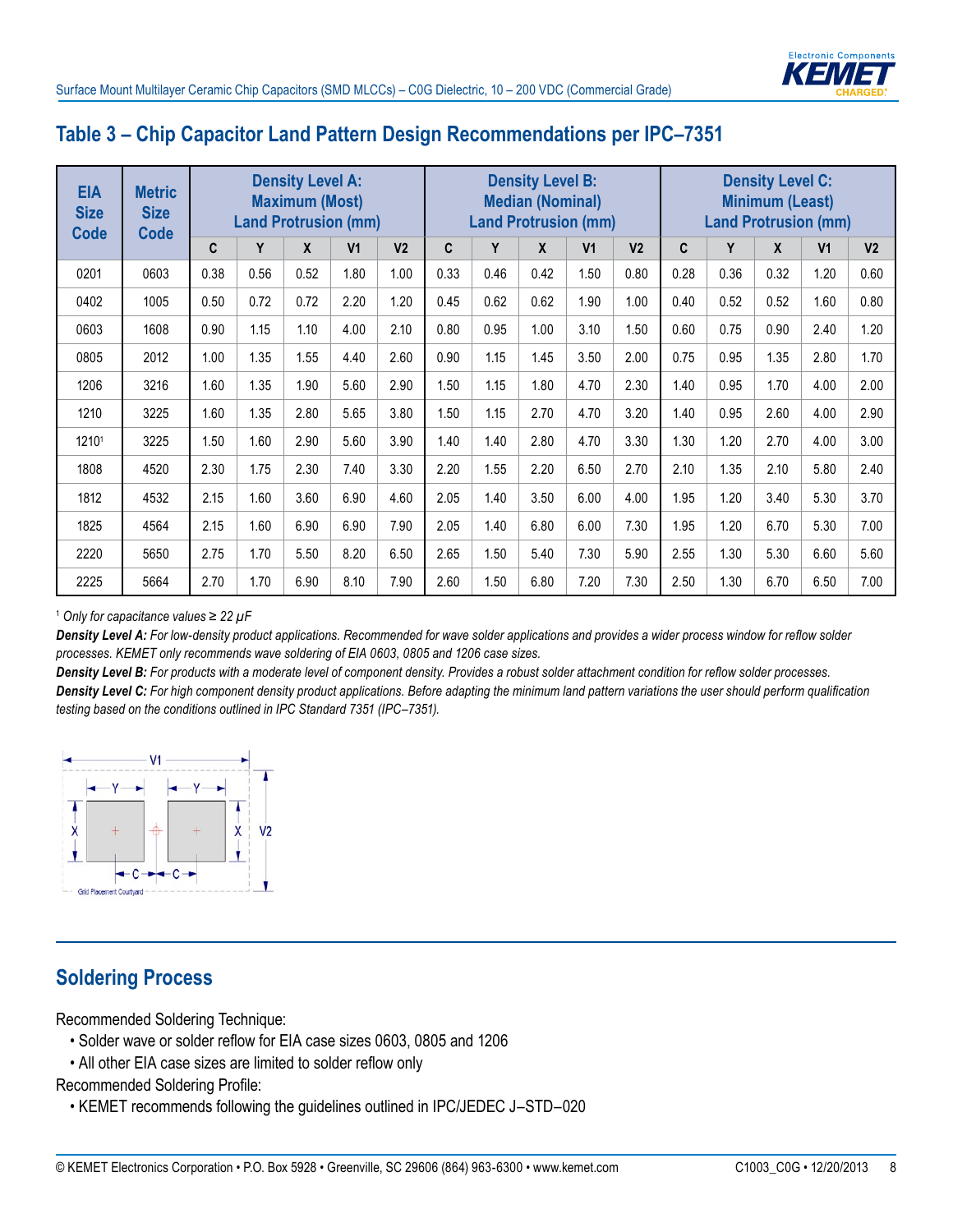

#### **Table 3 – Chip Capacitor Land Pattern Design Recommendations per IPC–7351**

| <b>EIA</b><br><b>Size</b><br><b>Code</b> | <b>Metric</b><br><b>Size</b><br><b>Code</b> |      |      | <b>Density Level A:</b><br><b>Maximum (Most)</b><br><b>Land Protrusion (mm)</b> |                |                |      |      | <b>Density Level B:</b><br><b>Median (Nominal)</b> | <b>Land Protrusion (mm)</b> |                |              | <b>Land Protrusion (mm)</b> | <b>Density Level C:</b><br><b>Minimum (Least)</b> |                |                |
|------------------------------------------|---------------------------------------------|------|------|---------------------------------------------------------------------------------|----------------|----------------|------|------|----------------------------------------------------|-----------------------------|----------------|--------------|-----------------------------|---------------------------------------------------|----------------|----------------|
|                                          |                                             | C    | Y    | X                                                                               | V <sub>1</sub> | V <sub>2</sub> | C.   | Y    | X                                                  | V <sub>1</sub>              | V <sub>2</sub> | $\mathbf{C}$ | Y                           | X                                                 | V <sub>1</sub> | V <sub>2</sub> |
| 0201                                     | 0603                                        | 0.38 | 0.56 | 0.52                                                                            | 1.80           | 1.00           | 0.33 | 0.46 | 0.42                                               | 1.50                        | 0.80           | 0.28         | 0.36                        | 0.32                                              | 1.20           | 0.60           |
| 0402                                     | 1005                                        | 0.50 | 0.72 | 0.72                                                                            | 2.20           | 1.20           | 0.45 | 0.62 | 0.62                                               | 1.90                        | 1.00           | 0.40         | 0.52                        | 0.52                                              | 1.60           | 0.80           |
| 0603                                     | 1608                                        | 0.90 | 1.15 | 1.10                                                                            | 4.00           | 2.10           | 0.80 | 0.95 | 1.00                                               | 3.10                        | 1.50           | 0.60         | 0.75                        | 0.90                                              | 2.40           | 1.20           |
| 0805                                     | 2012                                        | 1.00 | 1.35 | 1.55                                                                            | 4.40           | 2.60           | 0.90 | 1.15 | 1.45                                               | 3.50                        | 2.00           | 0.75         | 0.95                        | 1.35                                              | 2.80           | 1.70           |
| 1206                                     | 3216                                        | 1.60 | 1.35 | 1.90                                                                            | 5.60           | 2.90           | 1.50 | 1.15 | 1.80                                               | 4.70                        | 2.30           | 1.40         | 0.95                        | 1.70                                              | 4.00           | 2.00           |
| 1210                                     | 3225                                        | 1.60 | 1.35 | 2.80                                                                            | 5.65           | 3.80           | 1.50 | 1.15 | 2.70                                               | 4.70                        | 3.20           | 1.40         | 0.95                        | 2.60                                              | 4.00           | 2.90           |
| 12101                                    | 3225                                        | 1.50 | 1.60 | 2.90                                                                            | 5.60           | 3.90           | 1.40 | 1.40 | 2.80                                               | 4.70                        | 3.30           | 1.30         | 1.20                        | 2.70                                              | 4.00           | 3.00           |
| 1808                                     | 4520                                        | 2.30 | 1.75 | 2.30                                                                            | 7.40           | 3.30           | 2.20 | 1.55 | 2.20                                               | 6.50                        | 2.70           | 2.10         | 1.35                        | 2.10                                              | 5.80           | 2.40           |
| 1812                                     | 4532                                        | 2.15 | 1.60 | 3.60                                                                            | 6.90           | 4.60           | 2.05 | 1.40 | 3.50                                               | 6.00                        | 4.00           | 1.95         | 1.20                        | 3.40                                              | 5.30           | 3.70           |
| 1825                                     | 4564                                        | 2.15 | 1.60 | 6.90                                                                            | 6.90           | 7.90           | 2.05 | 1.40 | 6.80                                               | 6.00                        | 7.30           | 1.95         | 1.20                        | 6.70                                              | 5.30           | 7.00           |
| 2220                                     | 5650                                        | 2.75 | 1.70 | 5.50                                                                            | 8.20           | 6.50           | 2.65 | 1.50 | 5.40                                               | 7.30                        | 5.90           | 2.55         | 1.30                        | 5.30                                              | 6.60           | 5.60           |
| 2225                                     | 5664                                        | 2.70 | 1.70 | 6.90                                                                            | 8.10           | 7.90           | 2.60 | 1.50 | 6.80                                               | 7.20                        | 7.30           | 2.50         | 1.30                        | 6.70                                              | 6.50           | 7.00           |

<sup>1</sup> *Only for capacitance values ≥ 22 µF*

*Density Level A: For low-density product applications. Recommended for wave solder applications and provides a wider process window for reflow solder processes. KEMET only recommends wave soldering of EIA 0603, 0805 and 1206 case sizes.*

*Density Level B: For products with a moderate level of component density. Provides a robust solder attachment condition for reflow solder processes. Density Level C: For high component density product applications. Before adapting the minimum land pattern variations the user should perform qualification testing based on the conditions outlined in IPC Standard 7351 (IPC–7351).*



# **Soldering Process**

Recommended Soldering Technique:

- Solder wave or solder reflow for EIA case sizes 0603, 0805 and 1206
- All other EIA case sizes are limited to solder reflow only

Recommended Soldering Profile:

• KEMET recommends following the guidelines outlined in IPC/JEDEC J–STD–020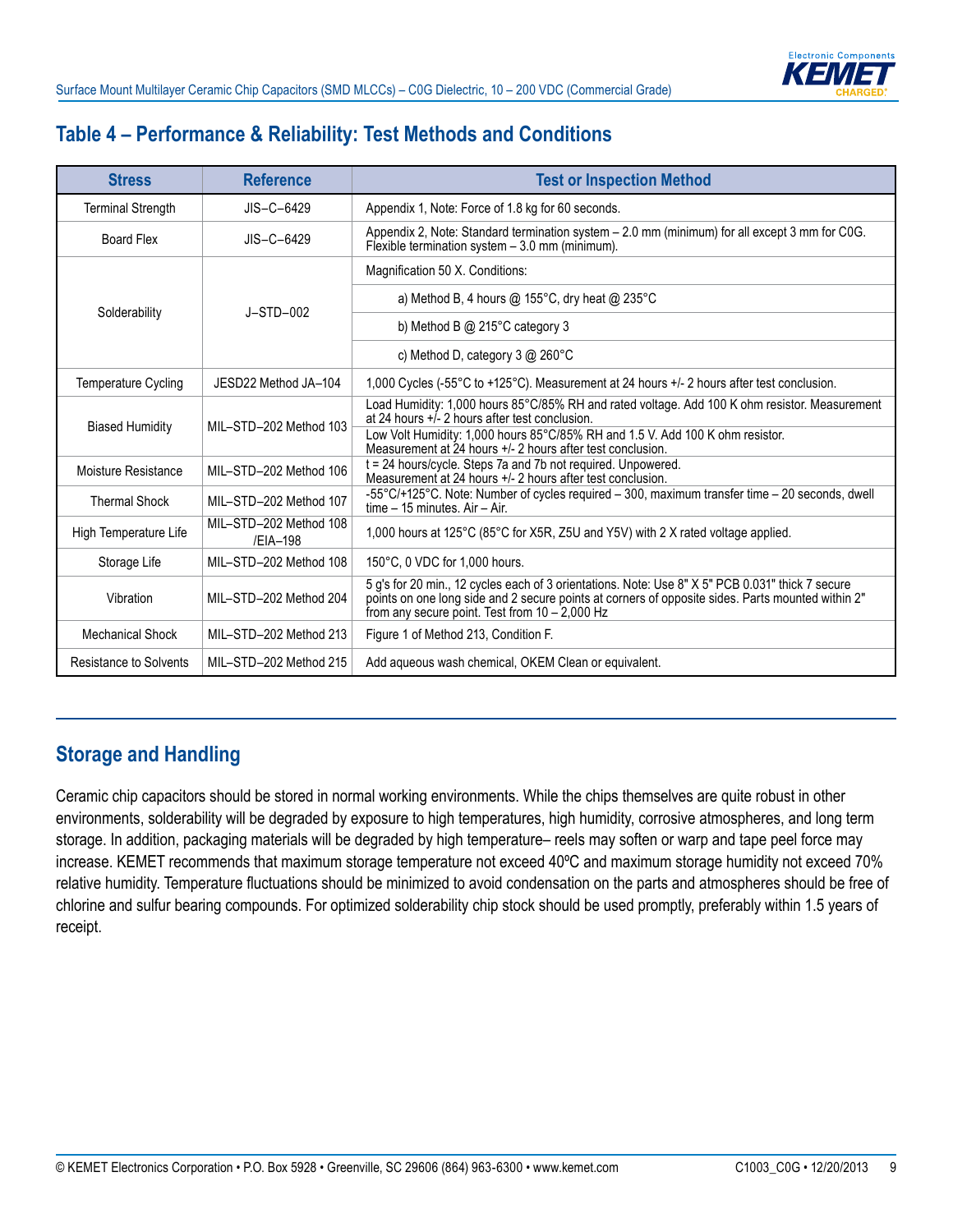# **Table 4 – Performance & Reliability: Test Methods and Conditions**

| <b>Stress</b>            | <b>Reference</b>                   | <b>Test or Inspection Method</b>                                                                                                                                                                                                                          |
|--------------------------|------------------------------------|-----------------------------------------------------------------------------------------------------------------------------------------------------------------------------------------------------------------------------------------------------------|
| <b>Terminal Strength</b> | $JIS-C-6429$                       | Appendix 1, Note: Force of 1.8 kg for 60 seconds.                                                                                                                                                                                                         |
| <b>Board Flex</b>        | $JIS-C-6429$                       | Appendix 2, Note: Standard termination system - 2.0 mm (minimum) for all except 3 mm for C0G.<br>Flexible termination system - 3.0 mm (minimum).                                                                                                          |
|                          |                                    | Magnification 50 X. Conditions:                                                                                                                                                                                                                           |
|                          | $J-STD-002$                        | a) Method B, 4 hours @ 155°C, dry heat @ 235°C                                                                                                                                                                                                            |
| Solderability            |                                    | b) Method B $@$ 215 $°C$ category 3                                                                                                                                                                                                                       |
|                          |                                    | c) Method D, category $3 \text{ @ } 260^{\circ}$ C                                                                                                                                                                                                        |
| Temperature Cycling      | JESD22 Method JA-104               | 1,000 Cycles (-55 $\degree$ C to +125 $\degree$ C). Measurement at 24 hours +/- 2 hours after test conclusion.                                                                                                                                            |
|                          | MII-STD-202 Method 103             | Load Humidity: 1,000 hours 85°C/85% RH and rated voltage. Add 100 K ohm resistor. Measurement<br>at 24 hours $+i$ - 2 hours after test conclusion.                                                                                                        |
| <b>Biased Humidity</b>   |                                    | Low Volt Humidity: 1,000 hours 85°C/85% RH and 1.5 V. Add 100 K ohm resistor.<br>Measurement at 24 hours +/- 2 hours after test conclusion.                                                                                                               |
| Moisture Resistance      | MII-STD-202 Method 106             | t = 24 hours/cycle. Steps 7a and 7b not required. Unpowered.<br>Measurement at 24 hours +/- 2 hours after test conclusion.                                                                                                                                |
| <b>Thermal Shock</b>     | MIL-STD-202 Method 107             | -55°C/+125°C. Note: Number of cycles required - 300, maximum transfer time - 20 seconds, dwell<br>time - 15 minutes. Air - Air.                                                                                                                           |
| High Temperature Life    | MIL-STD-202 Method 108<br>/FIA-198 | 1,000 hours at 125°C (85°C for X5R, Z5U and Y5V) with 2 X rated voltage applied.                                                                                                                                                                          |
| Storage Life             | MIL-STD-202 Method 108             | 150°C, 0 VDC for 1,000 hours.                                                                                                                                                                                                                             |
| Vibration                | MIL-STD-202 Method 204             | 5 g's for 20 min., 12 cycles each of 3 orientations. Note: Use 8" X 5" PCB 0.031" thick 7 secure<br>points on one long side and 2 secure points at corners of opposite sides. Parts mounted within 2"<br>from any secure point. Test from $10 - 2,000$ Hz |
| <b>Mechanical Shock</b>  | MIL-STD-202 Method 213             | Figure 1 of Method 213, Condition F.                                                                                                                                                                                                                      |
| Resistance to Solvents   | MIL-STD-202 Method 215             | Add aqueous wash chemical, OKEM Clean or equivalent.                                                                                                                                                                                                      |

# **Storage and Handling**

Ceramic chip capacitors should be stored in normal working environments. While the chips themselves are quite robust in other environments, solderability will be degraded by exposure to high temperatures, high humidity, corrosive atmospheres, and long term storage. In addition, packaging materials will be degraded by high temperature– reels may soften or warp and tape peel force may increase. KEMET recommends that maximum storage temperature not exceed 40ºC and maximum storage humidity not exceed 70% relative humidity. Temperature fluctuations should be minimized to avoid condensation on the parts and atmospheres should be free of chlorine and sulfur bearing compounds. For optimized solderability chip stock should be used promptly, preferably within 1.5 years of receipt.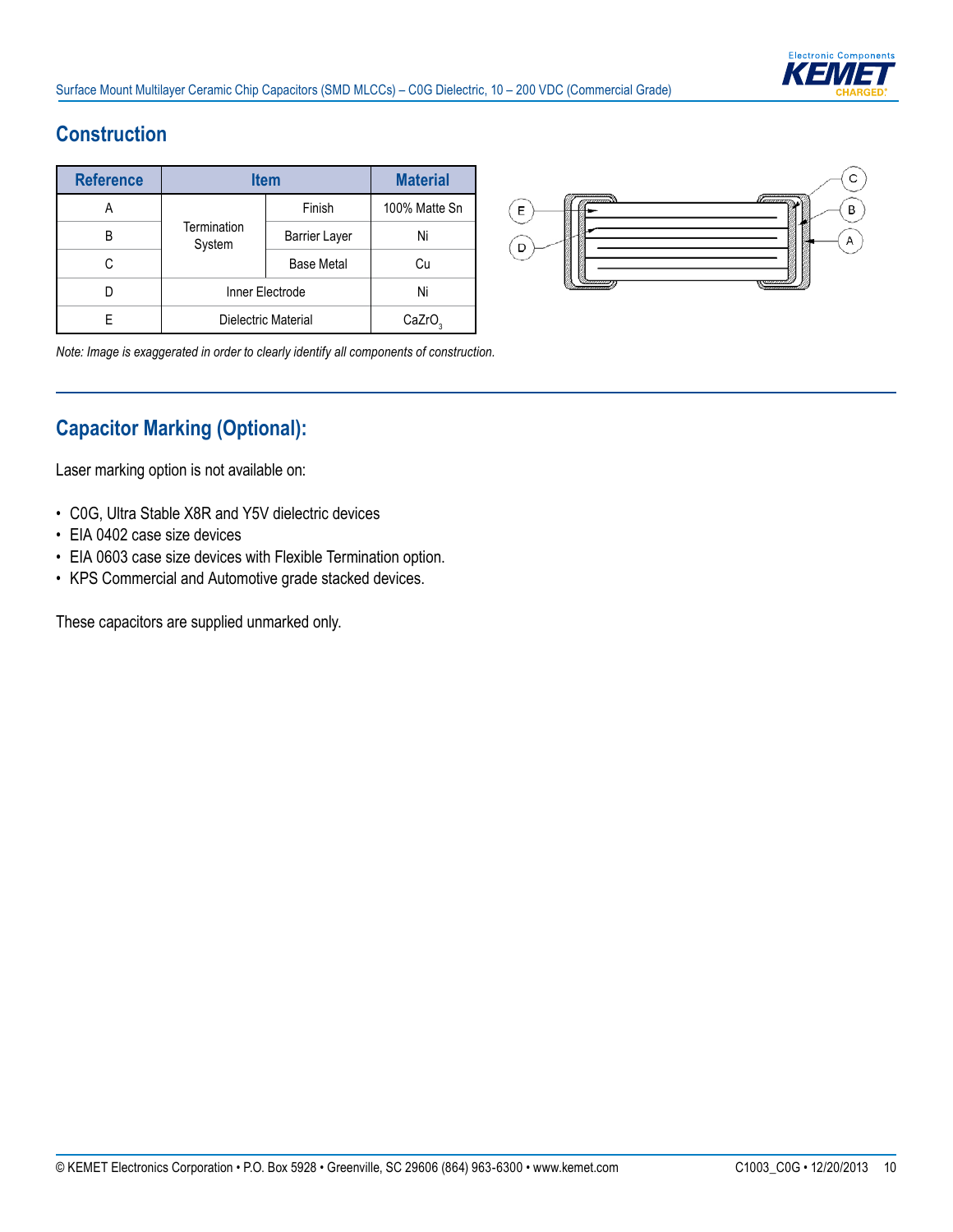

# **Construction**

| <b>Reference</b> |                       | <b>Item</b>          | <b>Material</b>    |
|------------------|-----------------------|----------------------|--------------------|
|                  |                       | Finish               | 100% Matte Sn      |
| R                | Termination<br>System | <b>Barrier Layer</b> | Ni                 |
| C                |                       | <b>Base Metal</b>    | Cu                 |
|                  |                       | Inner Electrode      | Ni                 |
|                  |                       | Dielectric Material  | CaZrO <sub>3</sub> |



*Note: Image is exaggerated in order to clearly identify all components of construction.*

# **Capacitor Marking (Optional):**

Laser marking option is not available on:

- C0G, Ultra Stable X8R and Y5V dielectric devices
- EIA 0402 case size devices
- EIA 0603 case size devices with Flexible Termination option.
- KPS Commercial and Automotive grade stacked devices.

These capacitors are supplied unmarked only.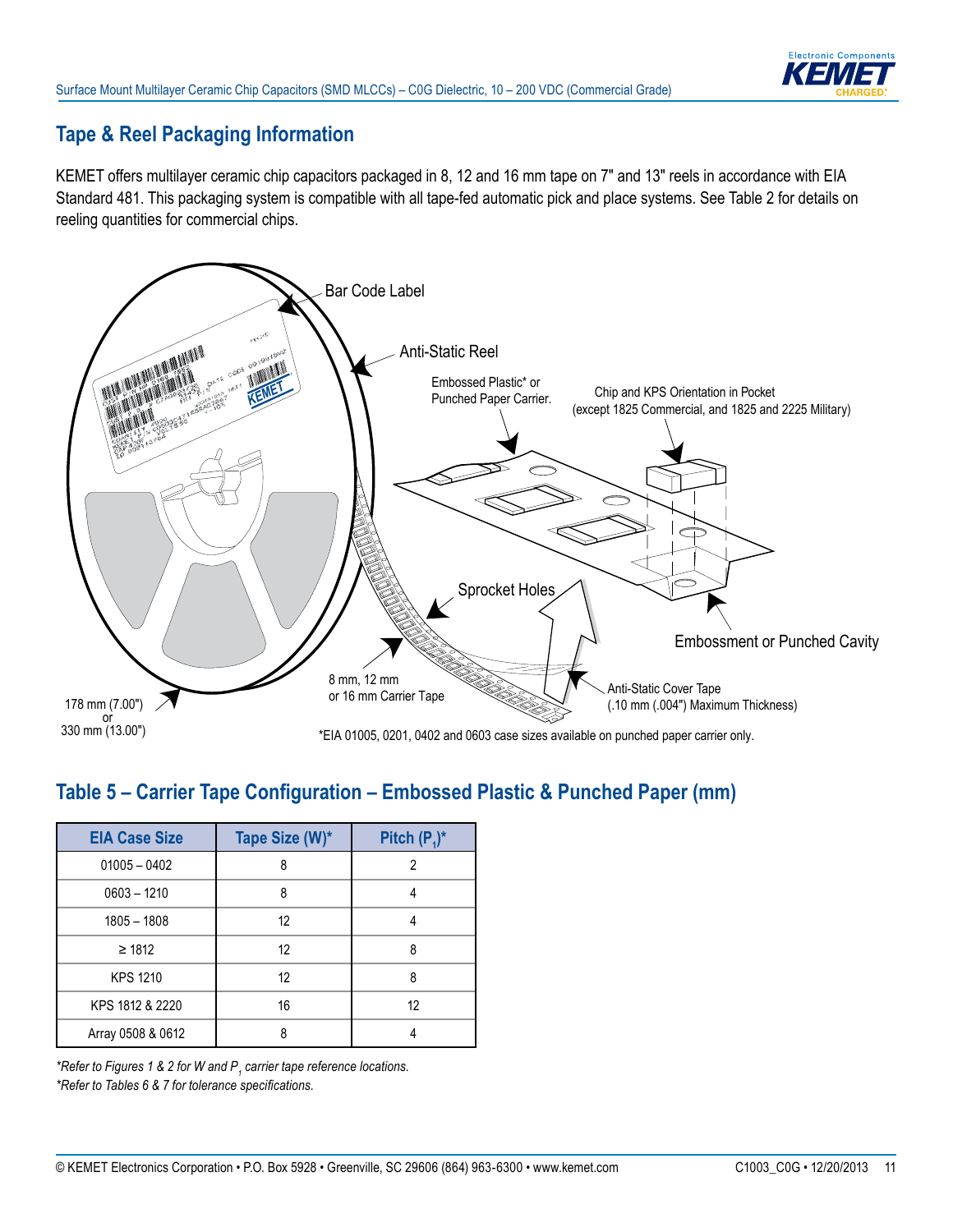

# **Tape & Reel Packaging Information**

KEMET offers multilayer ceramic chip capacitors packaged in 8, 12 and 16 mm tape on 7" and 13" reels in accordance with EIA Standard 481. This packaging system is compatible with all tape-fed automatic pick and place systems. See Table 2 for details on reeling quantities for commercial chips.



#### Table 5 – Carrier Tape Configuration – Embossed Plastic & Punched Paper (mm)

| <b>EIA Case Size</b> | Tape Size (W)* | Pitch $(P_1)^*$ |
|----------------------|----------------|-----------------|
| $01005 - 0402$       | ጸ              | 2               |
| $0603 - 1210$        | 8              |                 |
| $1805 - 1808$        | 12             |                 |
| $\geq 1812$          | 12             | 8               |
| <b>KPS 1210</b>      | 12             | 8               |
| KPS 1812 & 2220      | 16             | 12              |
| Array 0508 & 0612    | ጸ              |                 |

*\*Refer to Figures 1 & 2 for W and P<sup>1</sup> carrier tape reference locations. \*Refer to Tables 6 & 7 for tolerance specifi cations.*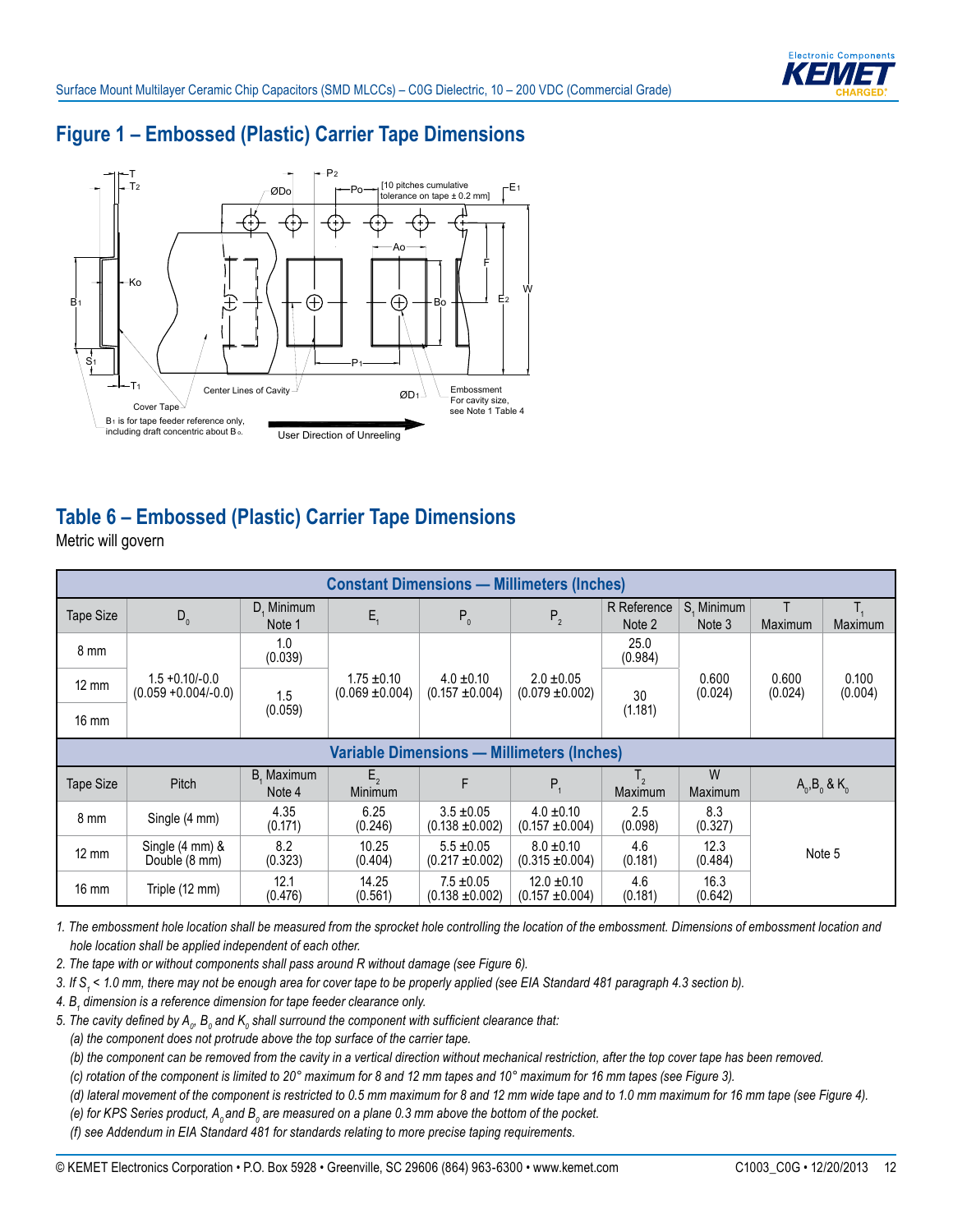

### **Figure 1 – Embossed (Plastic) Carrier Tape Dimensions**



#### **Table 6 – Embossed (Plastic) Carrier Tape Dimensions**

Metric will govern

| <b>Constant Dimensions — Millimeters (Inches)</b> |                                              |                      |                                        |                                       |                                       |                       |                      |                       |                  |
|---------------------------------------------------|----------------------------------------------|----------------------|----------------------------------------|---------------------------------------|---------------------------------------|-----------------------|----------------------|-----------------------|------------------|
| Tape Size                                         | $D_{0}$                                      | D, Minimum<br>Note 1 | $E_{1}$                                | $P_0$                                 | P <sub>2</sub>                        | R Reference<br>Note 2 | S. Minimum<br>Note 3 | Maximum               | <b>Maximum</b>   |
| 8 mm                                              |                                              | 1.0<br>(0.039)       |                                        |                                       |                                       | 25.0<br>(0.984)       |                      |                       |                  |
| $12 \text{ mm}$                                   | $1.5 + 0.10/-0.0$<br>$(0.059 + 0.004/- 0.0)$ | 1.5                  | $1.75 \pm 0.10$<br>$(0.069 \pm 0.004)$ | $4.0 \pm 0.10$<br>$(0.157 \pm 0.004)$ | $2.0 \pm 0.05$<br>$(0.079 \pm 0.002)$ | 30                    | 0.600<br>(0.024)     | 0.600<br>(0.024)      | 0.100<br>(0.004) |
| $16 \text{ mm}$                                   | (0.059)                                      |                      |                                        |                                       |                                       | (1.181)               |                      |                       |                  |
| <b>Variable Dimensions - Millimeters (Inches)</b> |                                              |                      |                                        |                                       |                                       |                       |                      |                       |                  |
| Tape Size                                         | Pitch                                        | B, Maximum<br>Note 4 | $E_{2}$<br><b>Minimum</b>              | F                                     | $P_{1}$                               | Τ,<br>Maximum         | W<br>Maximum         | $A_0$ , $B_0$ & $K_0$ |                  |
| 8 mm                                              | Single (4 mm)                                | 4.35<br>(0.171)      | 6.25<br>(0.246)                        | $3.5 \pm 0.05$<br>$(0.138 + 0.002)$   | $4.0 \pm 0.10$<br>$(0.157 + 0.004)$   | 2.5<br>(0.098)        | 8.3<br>(0.327)       |                       |                  |
| $12 \text{ mm}$                                   | Single (4 mm) &<br>Double (8 mm)             | 8.2<br>(0.323)       | 10.25<br>(0.404)                       | $5.5 \pm 0.05$<br>$(0.217 + 0.002)$   | $8.0 \pm 0.10$<br>$(0.315 \pm 0.004)$ | 4.6<br>(0.181)        | 12.3<br>(0.484)      |                       | Note 5           |
| 16 mm                                             | Triple (12 mm)                               | 12.1<br>(0.476)      | 14.25<br>(0.561)                       | $7.5 \pm 0.05$<br>$(0.138 + 0.002)$   | $12.0 \pm 0.10$<br>$(0.157 + 0.004)$  | 4.6<br>(0.181)        | 16.3<br>(0.642)      |                       |                  |

*1. The embossment hole location shall be measured from the sprocket hole controlling the location of the embossment. Dimensions of embossment location and hole location shall be applied independent of each other.*

*2. The tape with or without components shall pass around R without damage (see Figure 6).*

*3. If S1 < 1.0 mm, there may not be enough area for cover tape to be properly applied (see EIA Standard 481 paragraph 4.3 section b).*

*4. B<sup>1</sup> dimension is a reference dimension for tape feeder clearance only.*

5. The cavity defined by  $\bm A_o$ ,  $\bm B_o$  and  $\bm {\sf K}_o$  shall surround the component with sufficient clearance that:

 *(a) the component does not protrude above the top surface of the carrier tape.*

 *(b) the component can be removed from the cavity in a vertical direction without mechanical restriction, after the top cover tape has been removed.*

 *(c) rotation of the component is limited to 20° maximum for 8 and 12 mm tapes and 10° maximum for 16 mm tapes (see Figure 3).*

 *(d) lateral movement of the component is restricted to 0.5 mm maximum for 8 and 12 mm wide tape and to 1.0 mm maximum for 16 mm tape (see Figure 4).*

(e) for KPS Series product,  $A_o$  and  $B_o$  are measured on a plane 0.3 mm above the bottom of the pocket.

 *(f) see Addendum in EIA Standard 481 for standards relating to more precise taping requirements.*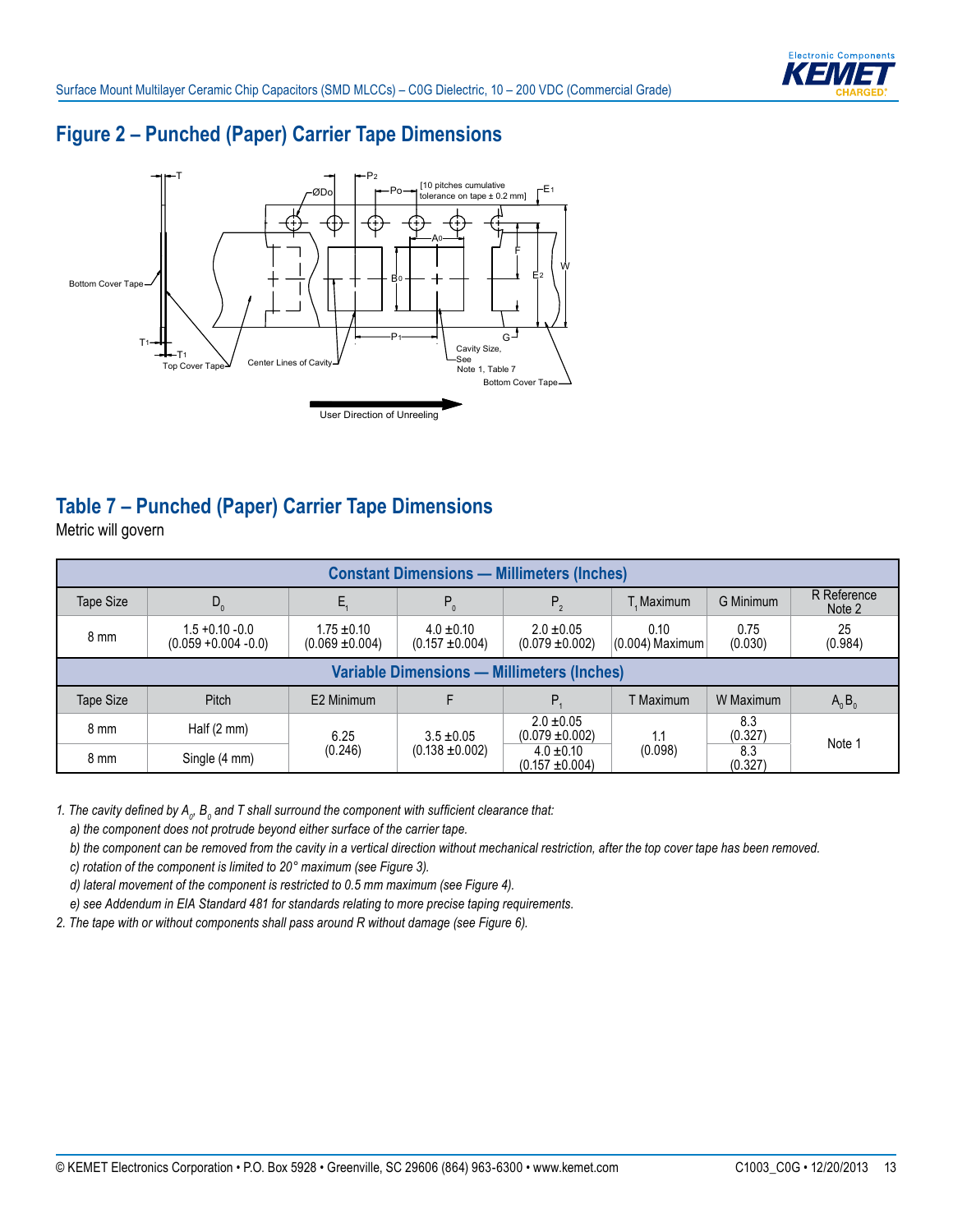

#### **Figure 2 – Punched (Paper) Carrier Tape Dimensions**



# **Table 7 – Punched (Paper) Carrier Tape Dimensions**

Metric will govern

| <b>Constant Dimensions - Millimeters (Inches)</b> |                                               |                                        |                                     |                                       |                           |                 |                       |  |
|---------------------------------------------------|-----------------------------------------------|----------------------------------------|-------------------------------------|---------------------------------------|---------------------------|-----------------|-----------------------|--|
| Tape Size                                         | $D_0$                                         |                                        | $P_0$                               | $P_{2}$                               | T. Maximum                | G Minimum       | R Reference<br>Note 2 |  |
| 8 mm                                              | $1.5 + 0.10 - 0.0$<br>$(0.059 + 0.004 - 0.0)$ | $1.75 \pm 0.10$<br>$(0.069 \pm 0.004)$ | $4.0 \pm 0.10$<br>$(0.157 + 0.004)$ | $2.0 \pm 0.05$<br>$(0.079 \pm 0.002)$ | 0.10<br>$(0.004)$ Maximum | 0.75<br>(0.030) | 25<br>(0.984)         |  |
| <b>Variable Dimensions - Millimeters (Inches)</b> |                                               |                                        |                                     |                                       |                           |                 |                       |  |
| Tape Size                                         | Pitch                                         | E2 Minimum                             |                                     | P.                                    | T Maximum                 | W Maximum       | $A_0B_0$              |  |
| 8 mm                                              | Half $(2 \text{ mm})$                         | 6.25                                   | $3.5 \pm 0.05$                      | $2.0 \pm 0.05$<br>$(0.079 \pm 0.002)$ | 1.1                       | 8.3<br>(0.327)  | Note 1                |  |
| 8 mm                                              | Single (4 mm)                                 | (0.246)                                | $(0.138 \pm 0.002)$                 | $4.0 \pm 0.10$<br>$(0.157 + 0.004)$   | (0.098)                   | 8.3<br>(0.327)  |                       |  |

1. The cavity defined by  $A_{o}$ ,  $B_{o}$  and T shall surround the component with sufficient clearance that:

 *a) the component does not protrude beyond either surface of the carrier tape.*

 *b) the component can be removed from the cavity in a vertical direction without mechanical restriction, after the top cover tape has been removed.*

 *c) rotation of the component is limited to 20° maximum (see Figure 3).*

 *d) lateral movement of the component is restricted to 0.5 mm maximum (see Figure 4).*

 *e) see Addendum in EIA Standard 481 for standards relating to more precise taping requirements.*

*2. The tape with or without components shall pass around R without damage (see Figure 6).*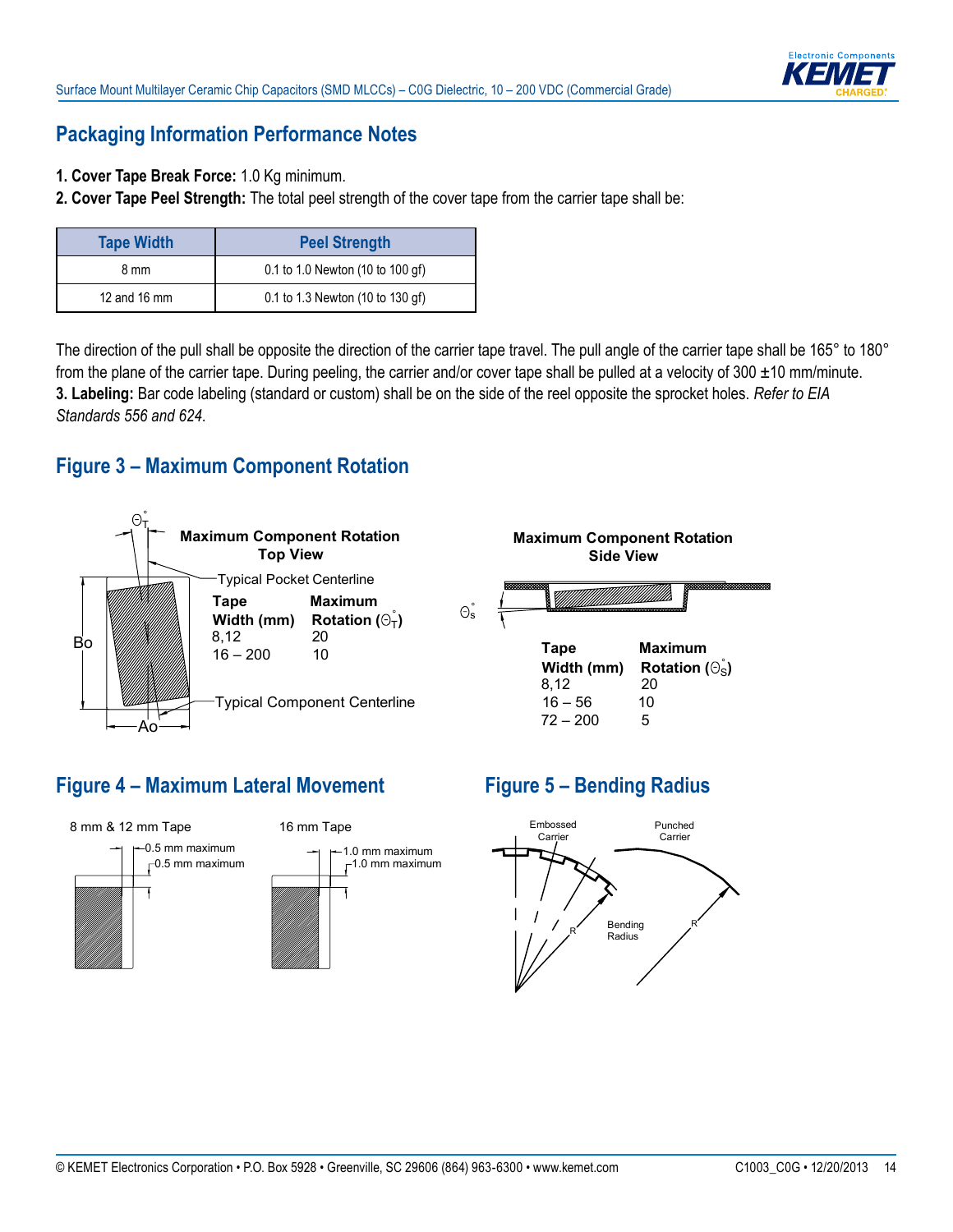

#### **Packaging Information Performance Notes**

- **1. Cover Tape Break Force:** 1.0 Kg minimum.
- **2. Cover Tape Peel Strength:** The total peel strength of the cover tape from the carrier tape shall be:

| <b>Tape Width</b> | <b>Peel Strength</b>             |
|-------------------|----------------------------------|
| 8 mm              | 0.1 to 1.0 Newton (10 to 100 gf) |
| 12 and 16 mm      | 0.1 to 1.3 Newton (10 to 130 gf) |

The direction of the pull shall be opposite the direction of the carrier tape travel. The pull angle of the carrier tape shall be 165° to 180° from the plane of the carrier tape. During peeling, the carrier and/or cover tape shall be pulled at a velocity of  $300 \pm 10$  mm/minute. **3. Labeling:** Bar code labeling (standard or custom) shall be on the side of the reel opposite the sprocket holes. *Refer to EIA Standards 556 and 624*.

#### **Figure 3 – Maximum Component Rotation**



### **Figure 4 – Maximum Lateral Movement**



# **Figure 5 – Bending Radius**

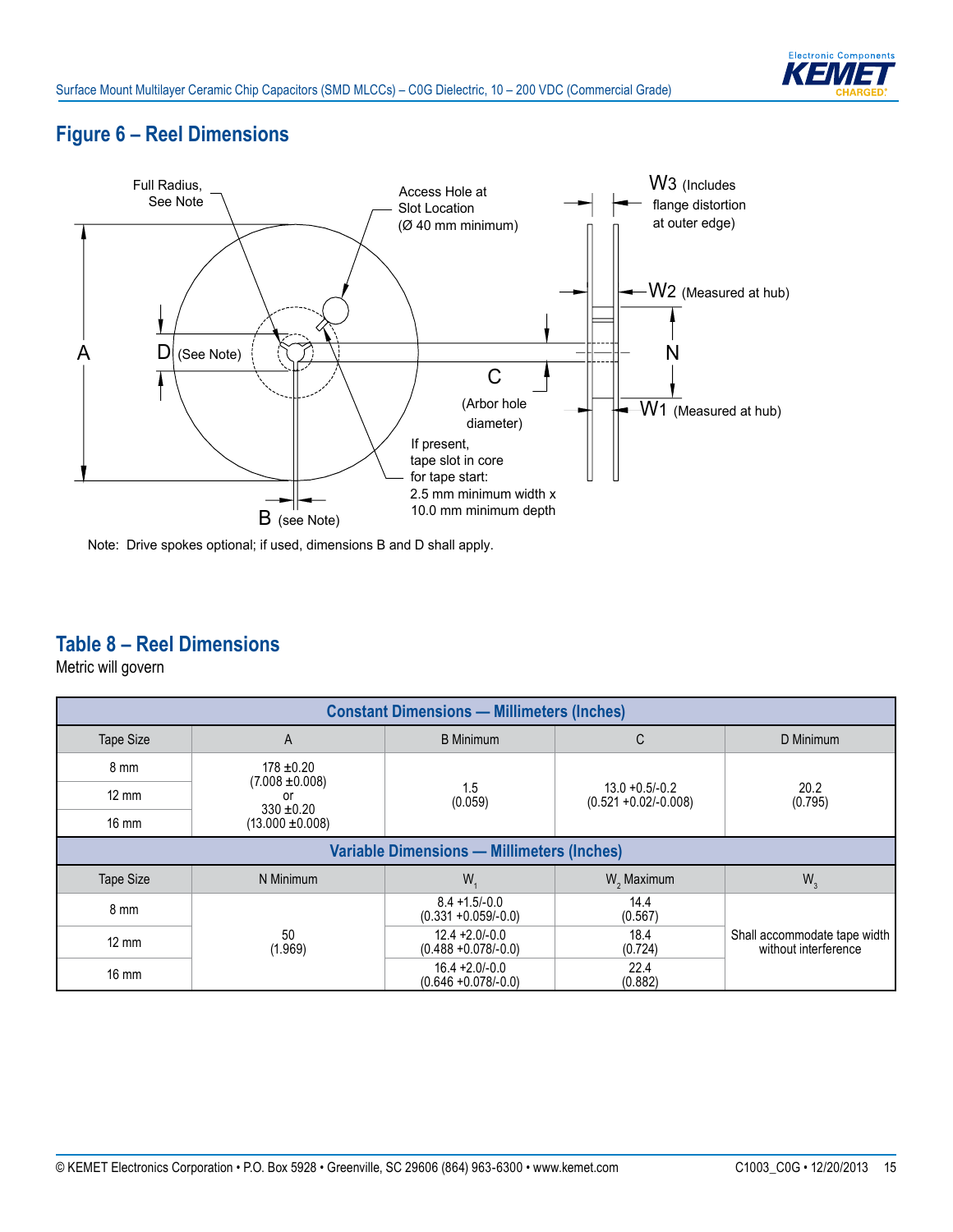# **Figure 6 – Reel Dimensions**



Note: Drive spokes optional; if used, dimensions B and D shall apply.

### **Table 8 – Reel Dimensions**

Metric will govern

| <b>Constant Dimensions - Millimeters (Inches)</b> |                                        |                                              |                                              |                                                      |  |  |  |
|---------------------------------------------------|----------------------------------------|----------------------------------------------|----------------------------------------------|------------------------------------------------------|--|--|--|
| <b>Tape Size</b>                                  | A                                      | <b>B</b> Minimum                             | C                                            | D Minimum                                            |  |  |  |
| 8 mm                                              | $178 \pm 0.20$                         |                                              | $13.0 + 0.5/-0.2$<br>$(0.521 + 0.02/-0.008)$ | 20.2<br>(0.795)                                      |  |  |  |
| $12 \text{ mm}$                                   | $(7.008 \pm 0.008)$<br>0r              | 1.5<br>(0.059)                               |                                              |                                                      |  |  |  |
| $16 \text{ mm}$                                   | $330 \pm 0.20$<br>$(13.000 \pm 0.008)$ |                                              |                                              |                                                      |  |  |  |
| <b>Variable Dimensions - Millimeters (Inches)</b> |                                        |                                              |                                              |                                                      |  |  |  |
| <b>Tape Size</b>                                  | N Minimum                              | W.                                           | W <sub>2</sub> Maximum                       | $W_3$                                                |  |  |  |
| 8 mm                                              |                                        | $8.4 + 1.5/-0.0$<br>$(0.331 + 0.059/-0.0)$   | 14.4<br>(0.567)                              |                                                      |  |  |  |
| $12 \text{ mm}$                                   | 50<br>(1.969)                          | $12.4 + 2.0 - 0.0$<br>$(0.488 + 0.078/-0.0)$ | 18.4<br>(0.724)                              | Shall accommodate tape width<br>without interference |  |  |  |
| $16 \text{ mm}$                                   |                                        | $16.4 + 2.0 - 0.0$<br>$(0.646 + 0.078/-0.0)$ | 22.4<br>(0.882)                              |                                                      |  |  |  |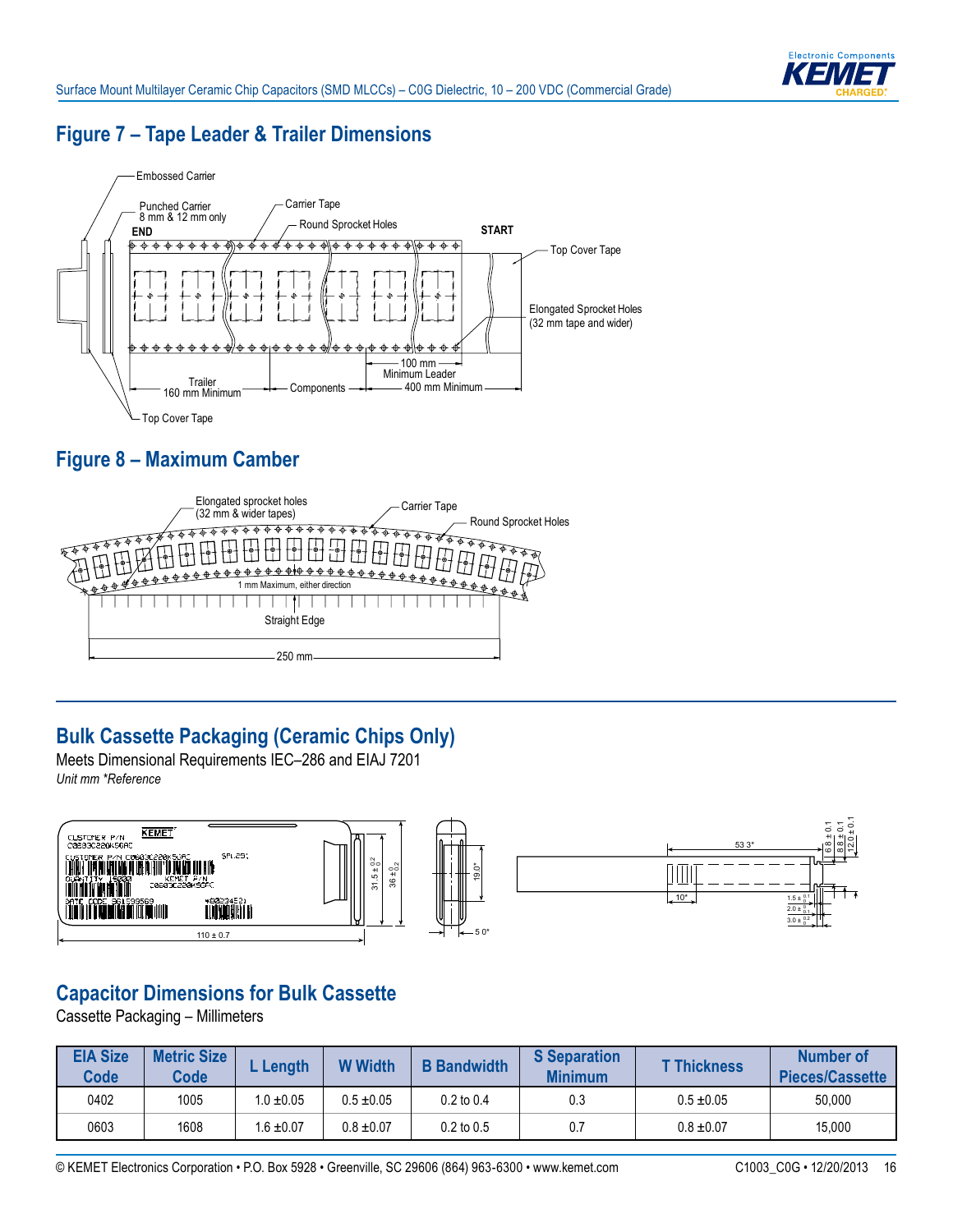

### **Figure 7 – Tape Leader & Trailer Dimensions**



# **Figure 8 – Maximum Camber**



# **Bulk Cassette Packaging (Ceramic Chips Only)**

Meets Dimensional Requirements IEC–286 and EIAJ 7201 *Unit mm \*Reference*



### **Capacitor Dimensions for Bulk Cassette**

Cassette Packaging – Millimeters

| <b>EIA Size</b><br><b>Code</b> | <b>Metric Size</b><br><b>Code</b> | Length         | <b>W</b> Width | <b>B</b> Bandwidth | <b>S</b> Separation<br><b>Minimum</b> | <b>T Thickness</b> | Number of<br>Pieces/Cassette |
|--------------------------------|-----------------------------------|----------------|----------------|--------------------|---------------------------------------|--------------------|------------------------------|
| 0402                           | 1005                              | $1.0 \pm 0.05$ | $0.5 \pm 0.05$ | $0.2$ to $0.4$     | 0.3                                   | $0.5 \pm 0.05$     | 50,000                       |
| 0603                           | 1608                              | $.6 \pm 0.07$  | $0.8 \pm 0.07$ | $0.2$ to $0.5$     | 0.7                                   | $0.8 \pm 0.07$     | 15,000                       |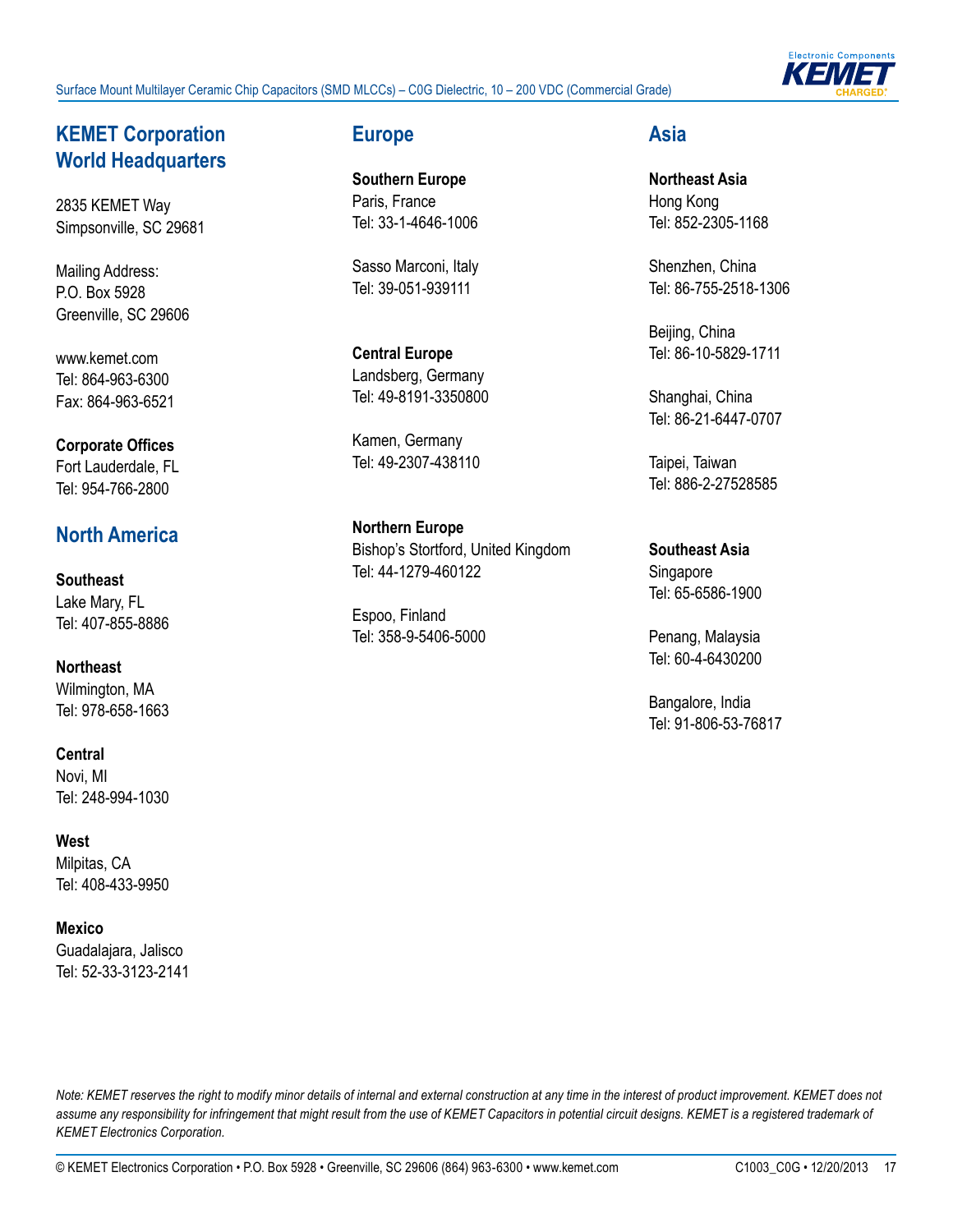Surface Mount Multilayer Ceramic Chip Capacitors (SMD MLCCs) – C0G Dielectric, 10 – 200 VDC (Commercial Grade)



#### **KEMET Corporation World Headquarters**

2835 KEMET Way Simpsonville, SC 29681

Mailing Address: P.O. Box 5928 Greenville, SC 29606

www.kemet.com Tel: 864-963-6300 Fax: 864-963-6521

#### **Corporate Offices** Fort Lauderdale, FL Tel: 954-766-2800

### **North America**

**Southeast** Lake Mary, FL Tel: 407-855-8886

**Northeast** Wilmington, MA Tel: 978-658-1663

**Central** Novi, MI Tel: 248-994-1030

**West** Milpitas, CA Tel: 408-433-9950

**Mexico**  Guadalajara, Jalisco Tel: 52-33-3123-2141

#### **Europe**

**Southern Europe** Paris, France Tel: 33-1-4646-1006

Sasso Marconi, Italy Tel: 39-051-939111

**Central Europe** Landsberg, Germany Tel: 49-8191-3350800

Kamen, Germany Tel: 49-2307-438110

**Northern Europe** Bishop's Stortford, United Kingdom Tel: 44-1279-460122

Espoo, Finland Tel: 358-9-5406-5000

#### **Asia**

**Northeast Asia** Hong Kong Tel: 852-2305-1168

Shenzhen, China Tel: 86-755-2518-1306

Beijing, China Tel: 86-10-5829-1711

Shanghai, China Tel: 86-21-6447-0707

Taipei, Taiwan Tel: 886-2-27528585

**Southeast Asia** Singapore Tel: 65-6586-1900

Penang, Malaysia Tel: 60-4-6430200

Bangalore, India Tel: 91-806-53-76817

*Note: KEMET reserves the right to modify minor details of internal and external construction at any time in the interest of product improvement. KEMET does not*  assume any responsibility for infringement that might result from the use of KEMET Capacitors in potential circuit designs. KEMET is a registered trademark of *KEMET Electronics Corporation.*